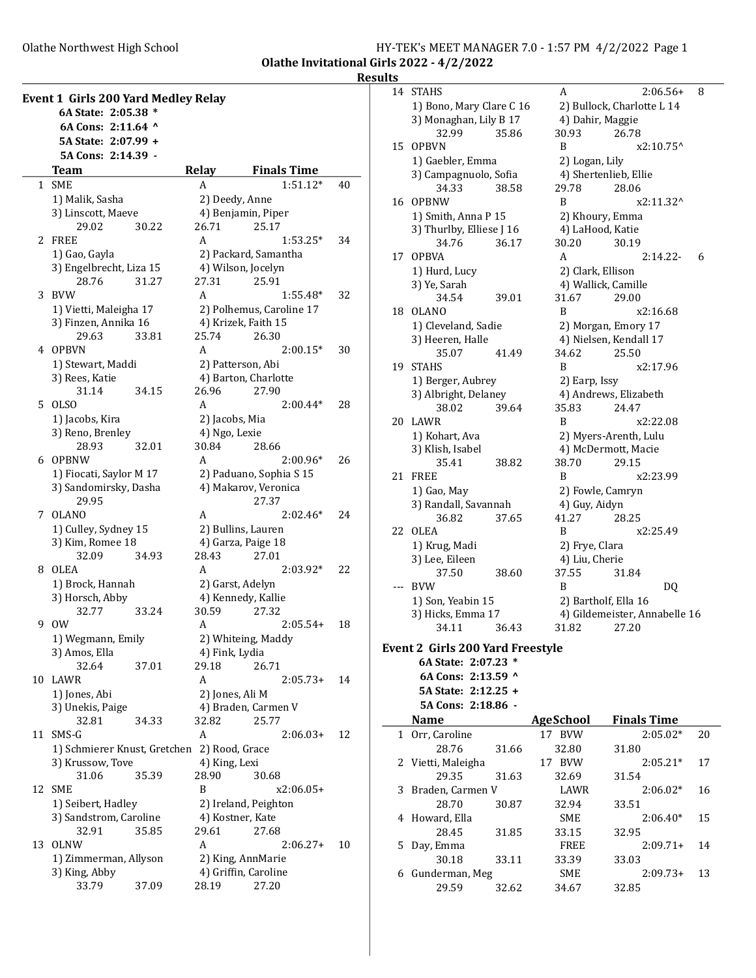Olathe Northwest High School

|                                           | HY-TEK's MEET MANAGER 7.0 - 1:57 PM 4/2/2022 Page 1 |  |  |
|-------------------------------------------|-----------------------------------------------------|--|--|
| Olathe Invitational Girls 2022 - 4/2/2022 |                                                     |  |  |

**Results** 

 $\sim$ 

|    | <b>Event 1 Girls 200 Yard Medley Relay</b><br>6A State: 2:05.38 * |                                                       |    |
|----|-------------------------------------------------------------------|-------------------------------------------------------|----|
|    | 6A Cons: 2:11.64 ^                                                |                                                       |    |
|    | 5A State: 2:07.99 +                                               |                                                       |    |
|    | 5A Cons: 2:14.39 -                                                |                                                       |    |
|    | Team<br>1 SME                                                     | <b>Relay</b><br><b>Finals Time</b><br>$1:51.12*$<br>A |    |
|    |                                                                   |                                                       | 40 |
|    | 1) Malik, Sasha                                                   | 2) Deedy, Anne                                        |    |
|    | 3) Linscott, Maeve                                                | 4) Benjamin, Piper<br>26.71<br>25.17                  |    |
| 2  | 29.02<br>30.22<br><b>FREE</b>                                     | A<br>$1:53.25*$                                       |    |
|    |                                                                   |                                                       | 34 |
|    | 1) Gao, Gayla                                                     | 2) Packard, Samantha                                  |    |
|    | 3) Engelbrecht, Liza 15<br>28.76<br>31.27                         | 4) Wilson, Jocelyn<br>27.31<br>25.91                  |    |
| 3  | <b>BVW</b>                                                        | A<br>$1:55.48*$                                       | 32 |
|    |                                                                   |                                                       |    |
|    | 1) Vietti, Maleigha 17                                            | 2) Polhemus, Caroline 17                              |    |
|    | 3) Finzen, Annika 16<br>29.63<br>33.81                            | 4) Krizek, Faith 15<br>25.74<br>26.30                 |    |
| 4  | <b>OPBVN</b>                                                      | A<br>$2:00.15*$                                       | 30 |
|    |                                                                   |                                                       |    |
|    | 1) Stewart, Maddi<br>3) Rees, Katie                               | 2) Patterson, Abi                                     |    |
|    | 31.14<br>34.15                                                    | 4) Barton, Charlotte<br>26.96<br>27.90                |    |
| 5. | <b>OLSO</b>                                                       | A<br>$2:00.44*$                                       | 28 |
|    | 1) Jacobs, Kira                                                   | 2) Jacobs, Mia                                        |    |
|    | 3) Reno, Brenley                                                  | 4) Ngo, Lexie                                         |    |
|    | 28.93<br>32.01                                                    | 30.84<br>28.66                                        |    |
| 6  | <b>OPBNW</b>                                                      | A<br>$2:00.96*$                                       | 26 |
|    | 1) Fiocati, Saylor M 17                                           | 2) Paduano, Sophia S 15                               |    |
|    | 3) Sandomirsky, Dasha                                             | 4) Makarov, Veronica                                  |    |
|    | 29.95                                                             | 27.37                                                 |    |
| 7  | <b>OLANO</b>                                                      | $2:02.46*$<br>A                                       | 24 |
|    | 1) Culley, Sydney 15                                              | 2) Bullins, Lauren                                    |    |
|    | 3) Kim, Romee 18                                                  | 4) Garza, Paige 18                                    |    |
|    | 32.09<br>34.93                                                    | 28.43<br>27.01                                        |    |
| 8  | OLEA                                                              | A<br>$2:03.92*$                                       | 22 |
|    | 1) Brock, Hannah                                                  | 2) Garst, Adelyn                                      |    |
|    | 3) Horsch, Abby                                                   | 4) Kennedy, Kallie                                    |    |
|    | 32.77<br>33.24                                                    | 30.59<br>27.32                                        |    |
| 9  | 0W                                                                | $2:05.54+$<br>A                                       | 18 |
|    | 1) Wegmann, Emily                                                 | 2) Whiteing, Maddy                                    |    |
|    | 3) Amos, Ella                                                     | 4) Fink, Lydia                                        |    |
|    | 32.64<br>37.01                                                    | 29.18<br>26.71                                        |    |
| 10 | LAWR                                                              | A<br>$2:05.73+$                                       | 14 |
|    | 1) Jones, Abi                                                     | 2) Jones, Ali M                                       |    |
|    | 3) Unekis, Paige                                                  | 4) Braden, Carmen V                                   |    |
|    | 32.81<br>34.33                                                    | 32.82<br>25.77                                        |    |
| 11 | SMS-G                                                             | A<br>$2:06.03+$                                       | 12 |
|    | 1) Schmierer Knust, Gretchen                                      | 2) Rood, Grace                                        |    |
|    | 3) Krussow, Tove                                                  | 4) King, Lexi                                         |    |
|    | 31.06<br>35.39                                                    | 28.90<br>30.68                                        |    |
| 12 | SME                                                               | B<br>x2:06.05+                                        |    |
|    | 1) Seibert, Hadley                                                | 2) Ireland, Peighton                                  |    |
|    | 3) Sandstrom, Caroline                                            | 4) Kostner, Kate                                      |    |
|    | 32.91<br>35.85                                                    | 29.61<br>27.68                                        |    |
| 13 | <b>OLNW</b>                                                       | A<br>$2:06.27+$                                       | 10 |
|    | 1) Zimmerman, Allyson                                             | 2) King, AnnMarie                                     |    |
|    | 3) King, Abby                                                     | 4) Griffin, Caroline                                  |    |
|    | 33.79<br>37.09                                                    | 28.19<br>27.20                                        |    |

| 1 L.J        |                                         |       |                      |                               |    |
|--------------|-----------------------------------------|-------|----------------------|-------------------------------|----|
| 14           | <b>STAHS</b>                            |       | A                    | $2:06.56+$                    | 8  |
|              | 1) Bono, Mary Clare C 16                |       |                      | 2) Bullock, Charlotte L 14    |    |
|              | 3) Monaghan, Lily B 17                  |       | 4) Dahir, Maggie     |                               |    |
|              | 32.99                                   | 35.86 | 30.93                | 26.78                         |    |
| 15           | <b>OPBVN</b>                            |       | B                    | x2:10.75^                     |    |
|              | 1) Gaebler, Emma                        |       | 2) Logan, Lily       |                               |    |
|              | 3) Campagnuolo, Sofia                   |       |                      | 4) Shertenlieb, Ellie         |    |
|              | 34.33                                   | 38.58 | 29.78                | 28.06                         |    |
| 16           | <b>OPBNW</b>                            |       | B                    | x2:11.32^                     |    |
|              | 1) Smith, Anna P 15                     |       | 2) Khoury, Emma      |                               |    |
|              | 3) Thurlby, Elliese J 16                |       | 4) LaHood, Katie     |                               |    |
|              | 34.76                                   | 36.17 | 30.20                | 30.19                         |    |
| 17           | <b>OPBVA</b>                            |       | A                    | $2:14.22-$                    | 6  |
|              | 1) Hurd, Lucy                           |       | 2) Clark, Ellison    |                               |    |
|              | 3) Ye, Sarah                            |       | 4) Wallick, Camille  |                               |    |
|              | 34.54                                   | 39.01 | 31.67                | 29.00                         |    |
| 18           | OLANO                                   |       | B                    | x2:16.68                      |    |
|              | 1) Cleveland, Sadie                     |       |                      | 2) Morgan, Emory 17           |    |
|              | 3) Heeren, Halle                        |       |                      | 4) Nielsen, Kendall 17        |    |
|              | 35.07                                   | 41.49 | 34.62                | 25.50                         |    |
| 19           | <b>STAHS</b>                            |       | B                    | x2:17.96                      |    |
|              |                                         |       |                      |                               |    |
|              | 1) Berger, Aubrey                       |       | 2) Earp, Issy        |                               |    |
|              | 3) Albright, Delaney                    |       |                      | 4) Andrews, Elizabeth         |    |
|              | 38.02                                   | 39.64 | 35.83                | 24.47                         |    |
| 20           | LAWR                                    |       | B                    | x2:22.08                      |    |
|              | 1) Kohart, Ava                          |       |                      | 2) Myers-Arenth, Lulu         |    |
|              | 3) Klish, Isabel                        |       |                      | 4) McDermott, Macie           |    |
|              | 35.41                                   | 38.82 | 38.70                | 29.15                         |    |
| 21           | FREE                                    |       | B                    | x2:23.99                      |    |
|              | 1) Gao, May                             |       | 2) Fowle, Camryn     |                               |    |
|              | 3) Randall, Savannah                    |       | 4) Guy, Aidyn        |                               |    |
|              | 36.82                                   | 37.65 | 41.27                | 28.25                         |    |
| 22           | OLEA                                    |       | B                    | x2:25.49                      |    |
|              | 1) Krug, Madi                           |       | 2) Frye, Clara       |                               |    |
|              | 3) Lee, Eileen                          |       | 4) Liu, Cherie       |                               |    |
|              | 37.50                                   | 38.60 | 37.55                | 31.84                         |    |
| ---          | <b>BVW</b>                              |       | B                    | DQ                            |    |
|              | 1) Son, Yeabin 15                       |       | 2) Bartholf, Ella 16 |                               |    |
|              | 3) Hicks, Emma 17                       |       |                      | 4) Gildemeister, Annabelle 16 |    |
|              | 34.11                                   | 36.43 | 31.82                | 27.20                         |    |
|              | <b>Event 2 Girls 200 Yard Freestyle</b> |       |                      |                               |    |
|              | 6A State: 2:07.23 *                     |       |                      |                               |    |
|              | 6A Cons: 2:13.59 ^                      |       |                      |                               |    |
|              | 5A State: 2:12.25 +                     |       |                      |                               |    |
|              | 5A Cons: 2:18.86 -                      |       |                      |                               |    |
|              | <b>Name</b>                             |       | <b>AgeSchool</b>     | <b>Finals Time</b>            |    |
| $\mathbf{1}$ | Orr, Caroline                           |       | 17 BVW               | $2:05.02*$                    | 20 |
|              | 28.76                                   | 31.66 | 32.80                | 31.80                         |    |
| 2            | Vietti, Maleigha                        |       | 17 BVW               | $2:05.21*$                    | 17 |
|              | 29.35                                   | 31.63 | 32.69                | 31.54                         |    |
| 3            | Braden, Carmen V                        |       | LAWR                 | $2:06.02*$                    | 16 |
|              | 28.70                                   | 30.87 | 32.94                | 33.51                         |    |
| 4            | Howard, Ella                            |       | SME                  | $2:06.40*$                    | 15 |
|              | 28.45                                   | 31.85 | 33.15                | 32.95                         |    |
| 5            | Day, Emma                               |       | <b>FREE</b>          | $2:09.71+$                    | 14 |
|              |                                         |       |                      |                               |    |

30.18 33.11 33.39 33.03<br>derman, Meg SME 2:09.73+ 13

6 Gunderman, Meg SME

29.59 32.62 34.67 32.85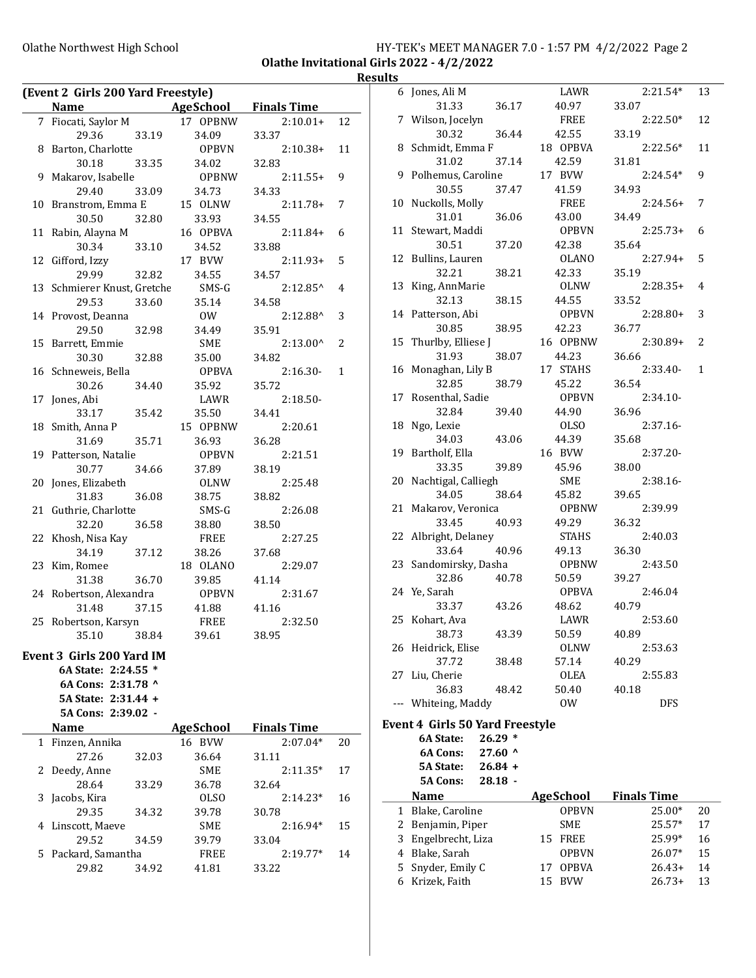#### Olathe Northwest High School **HY-TEK's MEET MANAGER 7.0 - 1:57 PM 4/2/2022** Page 2 Olathe Invitational Girls 2022 - 4/2/2022

#### **Results**

| (Event 2 Girls 200 Yard Freestyle) |                  |                    |                |   | 6 Jones, Ali M                         |           | LAWR             | $2:21.54*$         | 13             |
|------------------------------------|------------------|--------------------|----------------|---|----------------------------------------|-----------|------------------|--------------------|----------------|
| <b>Name</b>                        | AgeSchool        | <b>Finals Time</b> |                |   | 31.33                                  | 36.17     | 40.97            | 33.07              |                |
| 7 Fiocati, Saylor M                | 17 OPBNW         | $2:10.01+$         | 12             |   | 7 Wilson, Jocelyn                      |           | <b>FREE</b>      | $2:22.50*$         | 12             |
| 29.36<br>33.19                     | 34.09            | 33.37              |                |   | 30.32                                  | 36.44     | 42.55            | 33.19              |                |
| 8 Barton, Charlotte                | <b>OPBVN</b>     | $2:10.38+$         | 11             |   | 8 Schmidt, Emma F                      |           | 18 OPBVA         | $2:22.56*$         | 11             |
| 30.18<br>33.35                     | 34.02            | 32.83              |                |   | 31.02                                  | 37.14     | 42.59            | 31.81              |                |
| 9 Makarov, Isabelle                | <b>OPBNW</b>     | $2:11.55+$         | 9              |   | 9 Polhemus, Caroline                   |           | 17 BVW           | $2:24.54*$         | 9              |
| 29.40<br>33.09                     | 34.73            | 34.33              |                |   | 30.55                                  | 37.47     | 41.59            | 34.93              |                |
| 10 Branstrom, Emma E               | 15 OLNW          | $2:11.78+$         | $\overline{7}$ |   | 10 Nuckolls, Molly                     |           | FREE             | $2:24.56+$         | 7              |
| 30.50<br>32.80                     | 33.93            | 34.55              |                |   | 31.01                                  | 36.06     | 43.00            | 34.49              |                |
| 11 Rabin, Alayna M                 | 16 OPBVA         | $2:11.84+$         | 6              |   | 11 Stewart, Maddi                      |           | <b>OPBVN</b>     | $2:25.73+6$        |                |
| 30.34<br>33.10                     | 34.52            | 33.88              |                |   | 30.51                                  | 37.20     | 42.38            | 35.64              |                |
| 12 Gifford, Izzy                   | 17 BVW           | $2:11.93+$         | 5              |   | 12 Bullins, Lauren                     |           | <b>OLANO</b>     | $2:27.94+5$        |                |
| 29.99<br>32.82                     | 34.55            | 34.57              |                |   | 32.21                                  | 38.21     | 42.33            | 35.19              |                |
| 13 Schmierer Knust, Gretche        | SMS-G            | $2:12.85^{\wedge}$ | 4              |   | 13 King, AnnMarie                      |           | <b>OLNW</b>      | $2:28.35+4$        |                |
| 29.53<br>33.60                     | 35.14            | 34.58              |                |   | 32.13                                  | 38.15     | 44.55            | 33.52              |                |
| 14 Provost, Deanna                 | $\rm{OW}$        | $2:12.88^{\wedge}$ | 3              |   | 14 Patterson, Abi                      |           | <b>OPBVN</b>     | $2:28.80+3$        |                |
| 29.50<br>32.98                     | 34.49            | 35.91              |                |   | 30.85                                  | 38.95     | 42.23            | 36.77              |                |
| 15 Barrett, Emmie                  | <b>SME</b>       | $2:13.00^{\circ}$  | 2              |   | 15 Thurlby, Elliese J                  |           | 16 OPBNW         | $2:30.89+2$        |                |
| 32.88<br>30.30                     | 35.00            | 34.82              |                |   | 31.93                                  | 38.07     | 44.23            | 36.66              |                |
| 16 Schneweis, Bella                | <b>OPBVA</b>     | $2:16.30-$         | $\mathbf{1}$   |   | 16 Monaghan, Lily B                    |           | 17 STAHS         | $2:33.40-$         | $\overline{1}$ |
| 30.26<br>34.40                     | 35.92            | 35.72              |                |   | 32.85                                  | 38.79     | 45.22            | 36.54              |                |
| 17 Jones, Abi                      | LAWR             | $2:18.50-$         |                |   | 17 Rosenthal, Sadie                    |           | <b>OPBVN</b>     | $2:34.10-$         |                |
| 33.17<br>35.42                     | 35.50            | 34.41              |                |   | 32.84                                  | 39.40     | 44.90            | 36.96              |                |
| 18 Smith, Anna P                   | 15 OPBNW         | 2:20.61            |                |   | 18 Ngo, Lexie                          |           | <b>OLSO</b>      | $2:37.16-$         |                |
| 35.71<br>31.69                     | 36.93            | 36.28              |                |   | 34.03                                  | 43.06     | 44.39            | 35.68              |                |
| 19 Patterson, Natalie              | <b>OPBVN</b>     | 2:21.51            |                |   | 19 Bartholf, Ella                      |           | 16 BVW           | $2:37.20-$         |                |
| 34.66<br>30.77                     | 37.89            | 38.19              |                |   | 33.35                                  | 39.89     | 45.96            | 38.00              |                |
|                                    | <b>OLNW</b>      | 2:25.48            |                |   | 20 Nachtigal, Calliegh                 |           | SME              | $2:38.16-$         |                |
| 20 Jones, Elizabeth                |                  |                    |                |   | 34.05                                  | 38.64     | 45.82            | 39.65              |                |
| 31.83<br>36.08                     | 38.75            | 38.82              |                |   | 21 Makarov, Veronica                   |           | <b>OPBNW</b>     | 2:39.99            |                |
| 21 Guthrie, Charlotte              | SMS-G            | 2:26.08            |                |   | 33.45                                  | 40.93     | 49.29            | 36.32              |                |
| 32.20<br>36.58                     | 38.80            | 38.50              |                |   |                                        |           | <b>STAHS</b>     |                    |                |
| 22 Khosh, Nisa Kay                 | <b>FREE</b>      | 2:27.25            |                |   | 22 Albright, Delaney                   |           |                  | 2:40.03<br>36.30   |                |
| 34.19<br>37.12                     | 38.26            | 37.68              |                |   | 33.64                                  | 40.96     | 49.13            |                    |                |
| 23 Kim, Romee                      | 18 OLANO         | 2:29.07            |                |   | 23 Sandomirsky, Dasha                  |           | <b>OPBNW</b>     | 2:43.50            |                |
| 31.38<br>36.70                     | 39.85            | 41.14              |                |   | 32.86                                  | 40.78     | 50.59            | 39.27              |                |
| 24 Robertson, Alexandra            | <b>OPBVN</b>     | 2:31.67            |                |   | 24 Ye, Sarah                           |           | <b>OPBVA</b>     | 2:46.04            |                |
| 31.48<br>37.15                     | 41.88            | 41.16              |                |   | 33.37                                  | 43.26     | 48.62            | 40.79              |                |
| 25 Robertson, Karsyn               | FREE             | 2:32.50            |                |   | 25 Kohart, Ava                         |           | LAWR             | 2:53.60            |                |
| 38.84<br>35.10                     | 39.61            | 38.95              |                |   | 38.73                                  | 43.39     | 50.59            | 40.89              |                |
| Event 3 Girls 200 Yard IM          |                  |                    |                |   | 26 Heidrick, Elise                     |           | <b>OLNW</b>      | 2:53.63            |                |
| 6A State: 2:24.55 *                |                  |                    |                |   | 37.72                                  | 38.48     | 57.14            | 40.29              |                |
| 6A Cons: 2:31.78 ^                 |                  |                    |                |   | 27 Liu, Cherie                         |           | OLEA             | 2:55.83            |                |
|                                    |                  |                    |                |   | 36.83                                  | 48.42     | 50.40            | 40.18              |                |
| 5A State: 2:31.44 +                |                  |                    |                |   | --- Whiteing, Maddy                    |           | 0W               | <b>DFS</b>         |                |
| 5A Cons: 2:39.02 -                 |                  |                    |                |   | <b>Event 4 Girls 50 Yard Freestyle</b> |           |                  |                    |                |
| <b>Name</b>                        | <b>AgeSchool</b> | <b>Finals Time</b> |                |   | 6A State:                              | $26.29*$  |                  |                    |                |
| 1 Finzen, Annika                   | 16 BVW           | $2:07.04*$         | 20             |   | 6A Cons:                               | 27.60 ^   |                  |                    |                |
| 27.26<br>32.03                     | 36.64            | 31.11              |                |   |                                        |           |                  |                    |                |
| 2 Deedy, Anne                      | SME              | $2:11.35*$         | 17             |   | <b>5A State:</b>                       | $26.84 +$ |                  |                    |                |
| 28.64<br>33.29                     | 36.78            | 32.64              |                |   | <b>5A Cons:</b>                        | $28.18 -$ |                  |                    |                |
| 3 Jacobs, Kira                     | <b>OLSO</b>      | $2:14.23*$         | 16             |   | <b>Name</b>                            |           | <b>AgeSchool</b> | <b>Finals Time</b> |                |
| 29.35<br>34.32                     | 39.78            | 30.78              |                |   | 1 Blake, Caroline                      |           | <b>OPBVN</b>     | 25.00*             | 20             |
| 4 Linscott, Maeve                  | SME              | $2:16.94*$         | 15             | 2 | Benjamin, Piper                        |           | SME              | 25.57*             | 17             |
| 29.52<br>34.59                     | 39.79            | 33.04              |                | 3 | Engelbrecht, Liza                      |           | 15 FREE          | 25.99*             | 16             |
| 5 Packard, Samantha                | FREE             | $2:19.77*$         | 14             | 4 | Blake, Sarah                           |           | <b>OPBVN</b>     | 26.07*             | 15             |
| 29.82<br>34.92                     | 41.81            | 33.22              |                | 5 | Snyder, Emily C                        |           | 17 OPBVA         | $26.43+$           | 14             |
|                                    |                  |                    |                |   | 6 Krizek, Faith                        |           | 15 BVW           | $26.73+$           | 13             |
|                                    |                  |                    |                |   |                                        |           |                  |                    |                |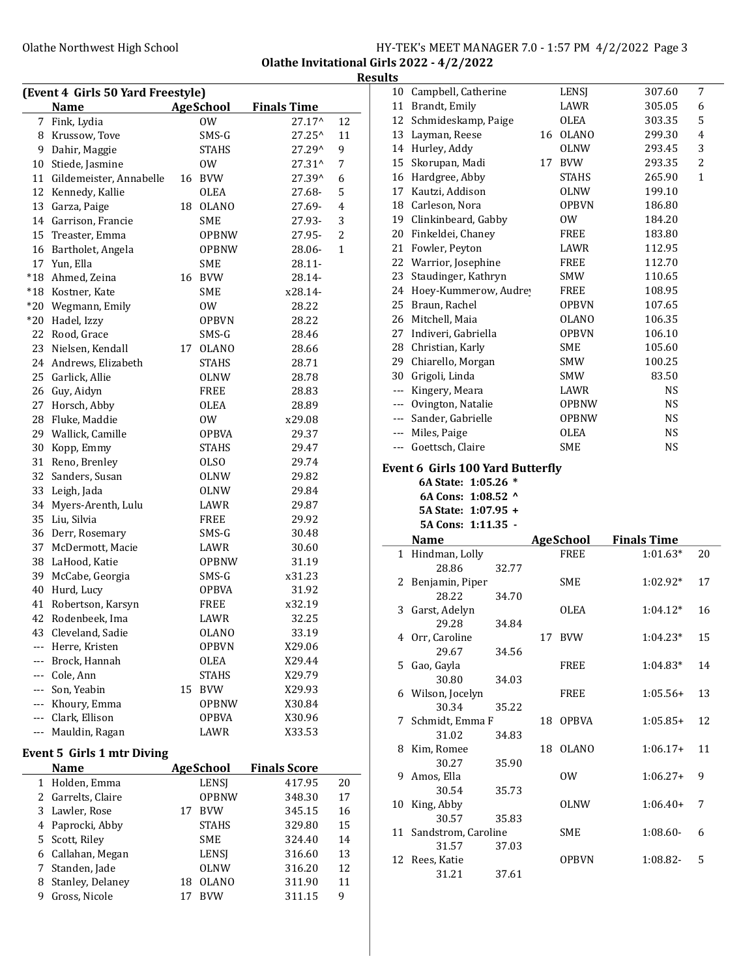#### Olathe Northwest High School HY-TEK's MEET MANAGER 7.0 - 1:57 PM 4/2/2022 Page 3 Olathe Invitational Girls 2022 - 4/2/2022

Results

|                      | (Event 4 Girls 50 Yard Freestyle) |                  |                     |              |                                                                                                                                                                                                                                                                                                                                                                                              | 10 Campbell, Catherine                                         | LENSJ            | 307.60             | 7            |
|----------------------|-----------------------------------|------------------|---------------------|--------------|----------------------------------------------------------------------------------------------------------------------------------------------------------------------------------------------------------------------------------------------------------------------------------------------------------------------------------------------------------------------------------------------|----------------------------------------------------------------|------------------|--------------------|--------------|
|                      | <b>Name</b>                       | <b>AgeSchool</b> | <b>Finals Time</b>  |              |                                                                                                                                                                                                                                                                                                                                                                                              | 11 Brandt, Emily                                               | LAWR             | 305.05             | 6            |
|                      | 7 Fink, Lydia                     | 0W               | 27.17^              | 12           | 12                                                                                                                                                                                                                                                                                                                                                                                           | Schmideskamp, Paige                                            | <b>OLEA</b>      | 303.35             | 5            |
|                      | 8 Krussow, Tove                   | SMS-G            | 27.25^              | 11           | 13                                                                                                                                                                                                                                                                                                                                                                                           | Layman, Reese                                                  | 16 OLANO         | 299.30             | 4            |
| 9                    | Dahir, Maggie                     | <b>STAHS</b>     | 27.29^              | 9            |                                                                                                                                                                                                                                                                                                                                                                                              | 14 Hurley, Addy                                                | <b>OLNW</b>      | 293.45             | 3            |
| 10                   | Stiede, Jasmine                   | 0W               | 27.31^              | 7            | 15                                                                                                                                                                                                                                                                                                                                                                                           | Skorupan, Madi                                                 | 17 BVW           | 293.35             | 2            |
| 11                   | Gildemeister, Annabelle           | 16 BVW           | 27.39^              | 6            | 16                                                                                                                                                                                                                                                                                                                                                                                           | Hardgree, Abby                                                 | <b>STAHS</b>     | 265.90             | $\mathbf{1}$ |
| 12                   | Kennedy, Kallie                   | <b>OLEA</b>      | 27.68-              | 5            | 17                                                                                                                                                                                                                                                                                                                                                                                           | Kautzi, Addison                                                | <b>OLNW</b>      | 199.10             |              |
| 13                   | Garza, Paige                      | 18 OLANO         | 27.69-              | 4            | 18                                                                                                                                                                                                                                                                                                                                                                                           | Carleson, Nora                                                 | <b>OPBVN</b>     | 186.80             |              |
|                      | 14 Garrison, Francie              | <b>SME</b>       | 27.93-              | 3            | 19                                                                                                                                                                                                                                                                                                                                                                                           | Clinkinbeard, Gabby                                            | 0 <sub>W</sub>   | 184.20             |              |
|                      | 15 Treaster, Emma                 | <b>OPBNW</b>     | 27.95-              | 2            | 20                                                                                                                                                                                                                                                                                                                                                                                           | Finkeldei, Chaney                                              | FREE             | 183.80             |              |
| 16                   | Bartholet, Angela                 | <b>OPBNW</b>     | 28.06-              | $\mathbf{1}$ | 21                                                                                                                                                                                                                                                                                                                                                                                           | Fowler, Peyton                                                 | LAWR             | 112.95             |              |
|                      | 17 Yun, Ella                      | <b>SME</b>       | 28.11-              |              | 22                                                                                                                                                                                                                                                                                                                                                                                           | Warrior, Josephine                                             | FREE             | 112.70             |              |
| $*18$                | Ahmed, Zeina                      | 16 BVW           | 28.14-              |              | 23                                                                                                                                                                                                                                                                                                                                                                                           | Staudinger, Kathryn                                            | <b>SMW</b>       | 110.65             |              |
|                      | *18 Kostner, Kate                 | SME              | x28.14-             |              |                                                                                                                                                                                                                                                                                                                                                                                              | 24 Hoey-Kummerow, Audrey                                       | FREE             | 108.95             |              |
|                      | *20 Wegmann, Emily                | 0W               | 28.22               |              | 25                                                                                                                                                                                                                                                                                                                                                                                           | Braun, Rachel                                                  | <b>OPBVN</b>     | 107.65             |              |
| $*20$                | Hadel, Izzy                       | <b>OPBVN</b>     | 28.22               |              | 26                                                                                                                                                                                                                                                                                                                                                                                           | Mitchell, Maia                                                 | <b>OLANO</b>     | 106.35             |              |
| 22                   | Rood, Grace                       | SMS-G            | 28.46               |              | 27                                                                                                                                                                                                                                                                                                                                                                                           | Indiveri, Gabriella                                            | <b>OPBVN</b>     | 106.10             |              |
| 23                   | Nielsen, Kendall                  | 17 OLANO         | 28.66               |              | 28                                                                                                                                                                                                                                                                                                                                                                                           | Christian, Karly                                               | <b>SME</b>       | 105.60             |              |
|                      | 24 Andrews, Elizabeth             | <b>STAHS</b>     | 28.71               |              | 29                                                                                                                                                                                                                                                                                                                                                                                           | Chiarello, Morgan                                              | <b>SMW</b>       | 100.25             |              |
|                      | 25 Garlick, Allie                 | <b>OLNW</b>      | 28.78               |              | 30                                                                                                                                                                                                                                                                                                                                                                                           | Grigoli, Linda                                                 | <b>SMW</b>       | 83.50              |              |
| 26                   | Guy, Aidyn                        | FREE             | 28.83               |              | $\qquad \qquad - -$                                                                                                                                                                                                                                                                                                                                                                          | Kingery, Meara                                                 | LAWR             | <b>NS</b>          |              |
| 27                   | Horsch, Abby                      | OLEA             | 28.89               |              | $\cdots$                                                                                                                                                                                                                                                                                                                                                                                     | Ovington, Natalie                                              | <b>OPBNW</b>     | <b>NS</b>          |              |
| 28                   | Fluke, Maddie                     | 0W               | x29.08              |              |                                                                                                                                                                                                                                                                                                                                                                                              | Sander, Gabrielle                                              | <b>OPBNW</b>     | <b>NS</b>          |              |
| 29                   | Wallick, Camille                  | <b>OPBVA</b>     | 29.37               |              |                                                                                                                                                                                                                                                                                                                                                                                              | Miles, Paige                                                   | OLEA             | $_{\rm NS}$        |              |
| 30                   | Kopp, Emmy                        | <b>STAHS</b>     | 29.47               |              | $\frac{1}{2} \frac{1}{2} \frac{1}{2} \frac{1}{2} \frac{1}{2} \frac{1}{2} \frac{1}{2} \frac{1}{2} \frac{1}{2} \frac{1}{2} \frac{1}{2} \frac{1}{2} \frac{1}{2} \frac{1}{2} \frac{1}{2} \frac{1}{2} \frac{1}{2} \frac{1}{2} \frac{1}{2} \frac{1}{2} \frac{1}{2} \frac{1}{2} \frac{1}{2} \frac{1}{2} \frac{1}{2} \frac{1}{2} \frac{1}{2} \frac{1}{2} \frac{1}{2} \frac{1}{2} \frac{1}{2} \frac{$ | Goettsch, Claire                                               | <b>SME</b>       | <b>NS</b>          |              |
|                      | 31 Reno, Brenley                  | <b>OLSO</b>      | 29.74               |              |                                                                                                                                                                                                                                                                                                                                                                                              |                                                                |                  |                    |              |
| 32                   | Sanders, Susan                    | <b>OLNW</b>      | 29.82               |              |                                                                                                                                                                                                                                                                                                                                                                                              | <b>Event 6 Girls 100 Yard Butterfly</b><br>6A State: 1:05.26 * |                  |                    |              |
| 33                   | Leigh, Jada                       | <b>OLNW</b>      | 29.84               |              |                                                                                                                                                                                                                                                                                                                                                                                              |                                                                |                  |                    |              |
|                      | 34 Myers-Arenth, Lulu             | LAWR             | 29.87               |              |                                                                                                                                                                                                                                                                                                                                                                                              | 6A Cons: 1:08.52 ^<br>5A State: 1:07.95 +                      |                  |                    |              |
|                      | 35 Liu, Silvia                    | <b>FREE</b>      | 29.92               |              |                                                                                                                                                                                                                                                                                                                                                                                              | 5A Cons: 1:11.35 -                                             |                  |                    |              |
| 36                   | Derr, Rosemary                    | SMS-G            | 30.48               |              |                                                                                                                                                                                                                                                                                                                                                                                              |                                                                |                  |                    |              |
|                      | 37 McDermott, Macie               | LAWR             | 30.60               |              |                                                                                                                                                                                                                                                                                                                                                                                              | Name                                                           | <b>AgeSchool</b> | <b>Finals Time</b> |              |
|                      | 38 LaHood, Katie                  | <b>OPBNW</b>     | 31.19               |              |                                                                                                                                                                                                                                                                                                                                                                                              | 1 Hindman, Lolly                                               | <b>FREE</b>      | $1:01.63*$         | 20           |
| 39                   | McCabe, Georgia                   | SMS-G            | x31.23              |              |                                                                                                                                                                                                                                                                                                                                                                                              | 28.86<br>32.77                                                 |                  | 1:02.92*           | 17           |
| 40                   | Hurd, Lucy                        | <b>OPBVA</b>     | 31.92               |              |                                                                                                                                                                                                                                                                                                                                                                                              | 2 Benjamin, Piper<br>28.22                                     | <b>SME</b>       |                    |              |
| 41                   | Robertson, Karsyn                 | FREE             | x32.19              |              | 3.                                                                                                                                                                                                                                                                                                                                                                                           | 34.70<br>Garst, Adelyn                                         | <b>OLEA</b>      | $1:04.12*$         | 16           |
| 42                   | Rodenbeek, Ima                    | LAWR             | 32.25               |              |                                                                                                                                                                                                                                                                                                                                                                                              | 29.28<br>34.84                                                 |                  |                    |              |
|                      | 43 Cleveland, Sadie               | <b>OLANO</b>     | 33.19               |              |                                                                                                                                                                                                                                                                                                                                                                                              | 4 Orr, Caroline                                                | 17 BVW           | $1:04.23*$         | 15           |
|                      | --- Herre, Kristen                | <b>OPBVN</b>     | X29.06              |              |                                                                                                                                                                                                                                                                                                                                                                                              | 29.67<br>34.56                                                 |                  |                    |              |
|                      | Brock, Hannah                     | OLEA             | X29.44              |              |                                                                                                                                                                                                                                                                                                                                                                                              | 5 Gao, Gayla                                                   | FREE             | 1:04.83*           | 14           |
|                      | Cole, Ann                         | <b>STAHS</b>     | X29.79              |              |                                                                                                                                                                                                                                                                                                                                                                                              |                                                                |                  |                    |              |
| $\sim$ $\sim$ $\sim$ |                                   |                  |                     |              |                                                                                                                                                                                                                                                                                                                                                                                              |                                                                |                  | $1:05.56+$         | 13           |
|                      | Son, Yeabin                       | 15 BVW           | X29.93              |              |                                                                                                                                                                                                                                                                                                                                                                                              | 30.80<br>34.03                                                 |                  |                    |              |
|                      | Khoury, Emma                      | <b>OPBNW</b>     | X30.84              |              |                                                                                                                                                                                                                                                                                                                                                                                              | 6 Wilson, Jocelyn                                              | FREE             |                    |              |
| $\sim$ $\sim$ $\sim$ | Clark, Ellison                    | <b>OPBVA</b>     | X30.96              |              |                                                                                                                                                                                                                                                                                                                                                                                              | 30.34<br>35.22                                                 |                  |                    |              |
|                      | --- Mauldin, Ragan                | LAWR             | X33.53              |              |                                                                                                                                                                                                                                                                                                                                                                                              | 7 Schmidt, Emma F                                              | 18 OPBVA         | $1:05.85+$         | 12           |
|                      |                                   |                  |                     |              |                                                                                                                                                                                                                                                                                                                                                                                              | 31.02<br>34.83                                                 |                  |                    |              |
|                      | <b>Event 5 Girls 1 mtr Diving</b> |                  |                     |              |                                                                                                                                                                                                                                                                                                                                                                                              | 8 Kim, Romee<br>30.27                                          | 18 OLANO         | $1:06.17+$         | 11           |
|                      | <b>Name</b>                       | <b>AgeSchool</b> | <b>Finals Score</b> |              |                                                                                                                                                                                                                                                                                                                                                                                              | 35.90<br>9 Amos, Ella                                          | 0W               |                    | - 9          |
|                      | 1 Holden, Emma                    | LENSJ            | 417.95              | 20           |                                                                                                                                                                                                                                                                                                                                                                                              | 30.54                                                          |                  | $1:06.27+$         |              |
|                      | 2 Garrelts, Claire                | <b>OPBNW</b>     | 348.30              | 17           |                                                                                                                                                                                                                                                                                                                                                                                              | 35.73<br>10 King, Abby                                         | <b>OLNW</b>      | $1:06.40+$         | 7            |
| 3                    | Lawler, Rose                      | 17 BVW           | 345.15              | 16           |                                                                                                                                                                                                                                                                                                                                                                                              | 30.57<br>35.83                                                 |                  |                    |              |
| 4                    | Paprocki, Abby                    | <b>STAHS</b>     | 329.80              | 15           |                                                                                                                                                                                                                                                                                                                                                                                              | 11 Sandstrom, Caroline                                         | SME              | 1:08.60-           | 6            |
|                      | 5 Scott, Riley                    | SME              | 324.40              | 14           |                                                                                                                                                                                                                                                                                                                                                                                              | 31.57<br>37.03                                                 |                  |                    |              |
| 6                    | Callahan, Megan                   | LENSJ            | 316.60              | 13           |                                                                                                                                                                                                                                                                                                                                                                                              | 12 Rees, Katie                                                 | <b>OPBVN</b>     | 1:08.82-           | 5            |
| 7                    | Standen, Jade                     | <b>OLNW</b>      | 316.20              | 12           |                                                                                                                                                                                                                                                                                                                                                                                              | 31.21<br>37.61                                                 |                  |                    |              |
| 8                    | Stanley, Delaney                  | 18 OLANO         | 311.90              | 11           |                                                                                                                                                                                                                                                                                                                                                                                              |                                                                |                  |                    |              |
|                      | 9 Gross, Nicole                   | 17 BVW           | 311.15              | 9            |                                                                                                                                                                                                                                                                                                                                                                                              |                                                                |                  |                    |              |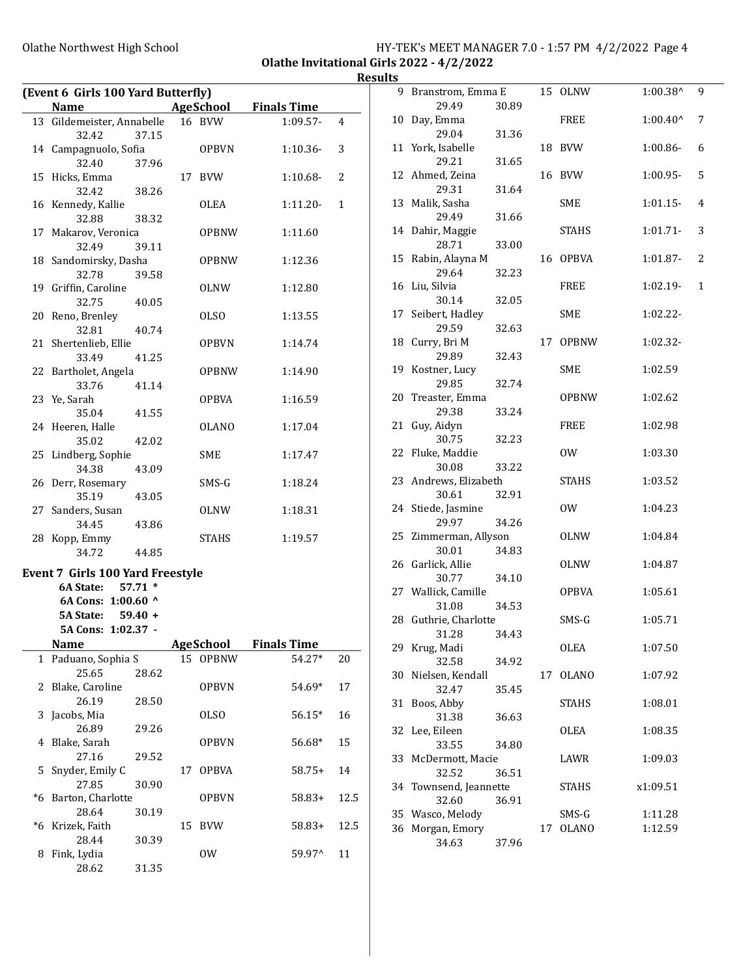### Olathe Northwest High School **HY-TEK's MEET MANAGER 7.0 - 1:57 PM 4/2/2022** Page 4 Olathe Invitational Girls 2022 - 4/2/2022

Results

| (Event 6 Girls 100 Yard Butterfly) |                                                                                                                                                                                                                                                                                                                         |                                                                                                                                                                                                                                                                                                      |                            |                                                                                                          |                    |  |  |
|------------------------------------|-------------------------------------------------------------------------------------------------------------------------------------------------------------------------------------------------------------------------------------------------------------------------------------------------------------------------|------------------------------------------------------------------------------------------------------------------------------------------------------------------------------------------------------------------------------------------------------------------------------------------------------|----------------------------|----------------------------------------------------------------------------------------------------------|--------------------|--|--|
| <b>Name</b>                        |                                                                                                                                                                                                                                                                                                                         |                                                                                                                                                                                                                                                                                                      |                            |                                                                                                          |                    |  |  |
|                                    |                                                                                                                                                                                                                                                                                                                         |                                                                                                                                                                                                                                                                                                      |                            | $1:09.57-$                                                                                               | 4                  |  |  |
|                                    |                                                                                                                                                                                                                                                                                                                         |                                                                                                                                                                                                                                                                                                      | <b>OPBVN</b>               | $1:10.36-$                                                                                               | 3                  |  |  |
|                                    |                                                                                                                                                                                                                                                                                                                         |                                                                                                                                                                                                                                                                                                      |                            | $1:10.68-$                                                                                               | 2                  |  |  |
|                                    |                                                                                                                                                                                                                                                                                                                         |                                                                                                                                                                                                                                                                                                      | OLEA                       | $1:11.20-$                                                                                               | 1                  |  |  |
|                                    | 39.11                                                                                                                                                                                                                                                                                                                   |                                                                                                                                                                                                                                                                                                      | <b>OPBNW</b>               | 1:11.60                                                                                                  |                    |  |  |
| 32.78                              | 39.58                                                                                                                                                                                                                                                                                                                   |                                                                                                                                                                                                                                                                                                      | <b>OPBNW</b>               | 1:12.36                                                                                                  |                    |  |  |
| 32.75                              |                                                                                                                                                                                                                                                                                                                         |                                                                                                                                                                                                                                                                                                      | OLNW                       | 1:12.80                                                                                                  |                    |  |  |
| 32.81                              |                                                                                                                                                                                                                                                                                                                         |                                                                                                                                                                                                                                                                                                      | <b>OLSO</b>                | 1:13.55                                                                                                  |                    |  |  |
| 33.49                              | 41.25                                                                                                                                                                                                                                                                                                                   |                                                                                                                                                                                                                                                                                                      | <b>OPBVN</b>               | 1:14.74                                                                                                  |                    |  |  |
| 33.76                              | 41.14                                                                                                                                                                                                                                                                                                                   |                                                                                                                                                                                                                                                                                                      | <b>OPBNW</b>               | 1:14.90                                                                                                  |                    |  |  |
| 35.04                              |                                                                                                                                                                                                                                                                                                                         |                                                                                                                                                                                                                                                                                                      | <b>OPBVA</b>               | 1:16.59                                                                                                  |                    |  |  |
| 35.02                              | 42.02                                                                                                                                                                                                                                                                                                                   |                                                                                                                                                                                                                                                                                                      | <b>OLANO</b>               | 1:17.04                                                                                                  |                    |  |  |
| 34.38                              |                                                                                                                                                                                                                                                                                                                         |                                                                                                                                                                                                                                                                                                      | SME                        | 1:17.47                                                                                                  |                    |  |  |
| 35.19                              | 43.05                                                                                                                                                                                                                                                                                                                   |                                                                                                                                                                                                                                                                                                      | SMS-G                      | 1:18.24                                                                                                  |                    |  |  |
| Sanders, Susan<br>34.45            | 43.86                                                                                                                                                                                                                                                                                                                   |                                                                                                                                                                                                                                                                                                      | OLNW                       | 1:18.31                                                                                                  |                    |  |  |
| 34.72                              |                                                                                                                                                                                                                                                                                                                         |                                                                                                                                                                                                                                                                                                      | STAHS                      | 1:19.57                                                                                                  |                    |  |  |
|                                    |                                                                                                                                                                                                                                                                                                                         |                                                                                                                                                                                                                                                                                                      |                            |                                                                                                          |                    |  |  |
| 6A State:                          |                                                                                                                                                                                                                                                                                                                         |                                                                                                                                                                                                                                                                                                      |                            |                                                                                                          |                    |  |  |
|                                    |                                                                                                                                                                                                                                                                                                                         |                                                                                                                                                                                                                                                                                                      |                            |                                                                                                          |                    |  |  |
| 5A State:                          |                                                                                                                                                                                                                                                                                                                         |                                                                                                                                                                                                                                                                                                      |                            |                                                                                                          |                    |  |  |
|                                    |                                                                                                                                                                                                                                                                                                                         |                                                                                                                                                                                                                                                                                                      |                            |                                                                                                          |                    |  |  |
| Name                               |                                                                                                                                                                                                                                                                                                                         |                                                                                                                                                                                                                                                                                                      |                            | <b>Finals Time</b>                                                                                       |                    |  |  |
|                                    |                                                                                                                                                                                                                                                                                                                         |                                                                                                                                                                                                                                                                                                      |                            | 54.27*                                                                                                   | 20                 |  |  |
| 25.65                              | 28.62                                                                                                                                                                                                                                                                                                                   |                                                                                                                                                                                                                                                                                                      |                            |                                                                                                          |                    |  |  |
| 26.19                              | 28.50                                                                                                                                                                                                                                                                                                                   |                                                                                                                                                                                                                                                                                                      | <b>OPBVN</b>               | 54.69*                                                                                                   | 17                 |  |  |
| Jacobs, Mia<br>26.89               | 29.26                                                                                                                                                                                                                                                                                                                   |                                                                                                                                                                                                                                                                                                      | <b>OLSO</b>                | 56.15*                                                                                                   | 16                 |  |  |
| Blake, Sarah<br>27.16              | 29.52                                                                                                                                                                                                                                                                                                                   |                                                                                                                                                                                                                                                                                                      | OPBVN                      | 56.68*                                                                                                   | 15                 |  |  |
| Snyder, Emily C<br>27.85           | 30.90                                                                                                                                                                                                                                                                                                                   | 17                                                                                                                                                                                                                                                                                                   | <b>OPBVA</b>               | $58.75+$                                                                                                 | 14                 |  |  |
|                                    |                                                                                                                                                                                                                                                                                                                         |                                                                                                                                                                                                                                                                                                      | <b>OPBVN</b>               | $58.83+$                                                                                                 | 12.5               |  |  |
| Krizek, Faith                      |                                                                                                                                                                                                                                                                                                                         | 15                                                                                                                                                                                                                                                                                                   | <b>BVW</b>                 | $58.83+$                                                                                                 | 12.5               |  |  |
| Fink, Lydia<br>28.62               |                                                                                                                                                                                                                                                                                                                         |                                                                                                                                                                                                                                                                                                      | 0W                         | 59.97^                                                                                                   | 11                 |  |  |
|                                    | 32.42<br>32.40<br>15 Hicks, Emma<br>32.42<br>16 Kennedy, Kallie<br>32.88<br>32.49<br>19 Griffin, Caroline<br>20 Reno, Brenley<br>21 Shertenlieb, Ellie<br>23 Ye, Sarah<br>24 Heeren, Halle<br>25 Lindberg, Sophie<br>26 Derr, Rosemary<br>27<br>28 Kopp, Emmy<br>Blake, Caroline<br>Barton, Charlotte<br>28.64<br>28.44 | 37.15<br>14 Campagnuolo, Sofia<br>37.96<br>38.26<br>38.32<br>17 Makarov, Veronica<br>18 Sandomirsky, Dasha<br>40.05<br>40.74<br>22 Bartholet, Angela<br>41.55<br>43.09<br>44.85<br>$57.71*$<br>6A Cons: 1:00.60 ^<br>$59.40 +$<br>5A Cons: 1:02.37 -<br>Paduano, Sophia S<br>30.19<br>30.39<br>31.35 | 13 Gildemeister, Annabelle | AgeSchool<br>16 BVW<br>17 BVW<br><b>Event 7 Girls 100 Yard Freestyle</b><br><b>AgeSchool</b><br>15 OPBNW | <b>Finals Time</b> |  |  |

|    | 9 Branstrom, Emma E |       |    | 15 OLNW      | 1:00.38^          | 9            |
|----|---------------------|-------|----|--------------|-------------------|--------------|
|    | 29.49               | 30.89 |    |              |                   |              |
| 10 | Day, Emma<br>29.04  |       |    | FREE         | $1:00.40^{\circ}$ | 7            |
|    |                     | 31.36 |    |              |                   |              |
| 11 | York, Isabelle      |       | 18 | <b>BVW</b>   | 1:00.86-          | 6            |
|    | 29.21               | 31.65 |    |              |                   |              |
| 12 | Ahmed, Zeina        |       | 16 | <b>BVW</b>   | $1:00.95-$        | 5            |
|    | 29.31               | 31.64 |    |              |                   |              |
| 13 | Malik, Sasha        |       |    | <b>SME</b>   | $1:01.15-$        | 4            |
|    | 29.49               | 31.66 |    |              |                   |              |
| 14 | Dahir, Maggie       |       |    | STAHS        | $1:01.71-$        | 3            |
|    | 28.71               | 33.00 |    |              |                   |              |
| 15 | Rabin, Alayna M     |       | 16 | <b>OPBVA</b> | 1:01.87-          | 2            |
|    | 29.64               | 32.23 |    |              |                   |              |
| 16 | Liu, Silvia         |       |    | FREE         | 1:02.19-          | $\mathbf{1}$ |
|    | 30.14               | 32.05 |    |              |                   |              |
| 17 | Seibert, Hadley     |       |    | SME          | 1:02.22-          |              |
|    | 29.59               | 32.63 |    |              |                   |              |
| 18 | Curry, Bri M        |       | 17 | <b>OPBNW</b> | 1:02.32-          |              |
|    | 29.89               |       |    |              |                   |              |
|    |                     | 32.43 |    |              |                   |              |
| 19 | Kostner, Lucy       |       |    | <b>SME</b>   | 1:02.59           |              |
|    | 29.85               | 32.74 |    |              |                   |              |
| 20 | Treaster, Emma      |       |    | <b>OPBNW</b> | 1:02.62           |              |
|    | 29.38               | 33.24 |    |              |                   |              |
| 21 | Guy, Aidyn          |       |    | <b>FREE</b>  | 1:02.98           |              |
|    | 30.75               | 32.23 |    |              |                   |              |
| 22 | Fluke, Maddie       |       |    | 0W           | 1:03.30           |              |
|    | 30.08               | 33.22 |    |              |                   |              |
| 23 | Andrews, Elizabeth  |       |    | STAHS        | 1:03.52           |              |
|    | 30.61               | 32.91 |    |              |                   |              |
| 24 | Stiede, Jasmine     |       |    | 0W           | 1:04.23           |              |
|    | 29.97               | 34.26 |    |              |                   |              |
| 25 | Zimmerman, Allyson  |       |    | <b>OLNW</b>  | 1:04.84           |              |
|    | 30.01               | 34.83 |    |              |                   |              |
| 26 | Garlick, Allie      |       |    | OLNW         | 1:04.87           |              |
|    | 30.77               | 34.10 |    |              |                   |              |
|    | 27 Wallick, Camille |       |    | <b>OPBVA</b> |                   |              |
|    |                     |       |    |              | 1:05.61           |              |
|    | 31.08               | 34.53 |    |              |                   |              |
| 28 | Guthrie, Charlotte  |       |    | SMS-G        | 1:05.71           |              |
|    | 31.28               | 34.43 |    |              |                   |              |
| 29 | Krug, Madi          |       |    | <b>OLEA</b>  | 1:07.50           |              |
|    | 32.58               | 34.92 |    |              |                   |              |
| 30 | Nielsen, Kendall    |       | 17 | <b>OLANO</b> | 1:07.92           |              |
|    | 32.47               | 35.45 |    |              |                   |              |
| 31 | Boos, Abby          |       |    | STAHS        | 1:08.01           |              |
|    | 31.38               | 36.63 |    |              |                   |              |
| 32 | Lee, Eileen         |       |    | <b>OLEA</b>  | 1:08.35           |              |
|    | 33.55               | 34.80 |    |              |                   |              |
| 33 | McDermott, Macie    |       |    | LAWR         | 1:09.03           |              |
|    | 32.52               | 36.51 |    |              |                   |              |
| 34 | Townsend, Jeannette |       |    | <b>STAHS</b> | x1:09.51          |              |
|    | 32.60               | 36.91 |    |              |                   |              |
| 35 | Wasco, Melody       |       |    | SMS-G        | 1:11.28           |              |
| 36 | Morgan, Emory       |       | 17 | <b>OLANO</b> | 1:12.59           |              |
|    |                     |       |    |              |                   |              |
|    | 34.63               | 37.96 |    |              |                   |              |
|    |                     |       |    |              |                   |              |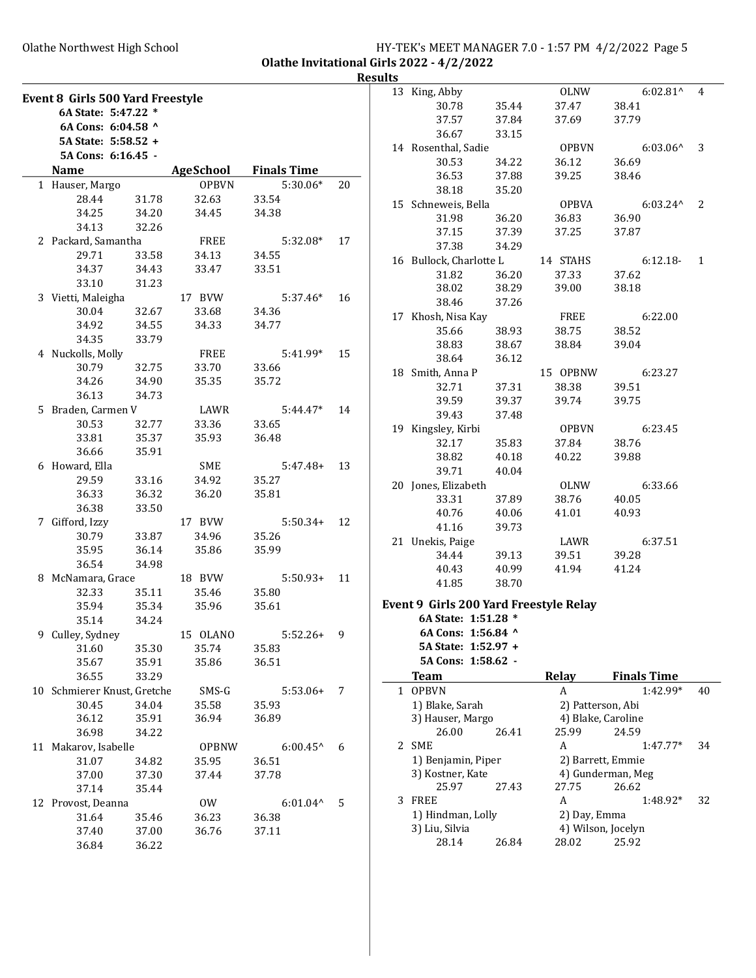### Olathe Northwest High School **HY-TEK's MEET MANAGER 7.0 - 1:57 PM 4/2/2022** Page 5 Olathe Invitational Girls 2022 - 4/2/2022

Results

|   | Event 8 Girls 500 Yard Freestyle |       |              |                    |    |
|---|----------------------------------|-------|--------------|--------------------|----|
|   | 6A State: 5:47.22 *              |       |              |                    |    |
|   | 6A Cons: 6:04.58 ^               |       |              |                    |    |
|   | 5A State: 5:58.52 +              |       |              |                    |    |
|   | 5A Cons: 6:16.45 -               |       |              |                    |    |
|   | <b>Name</b>                      |       | AgeSchool    | <b>Finals Time</b> |    |
|   | 1 Hauser, Margo                  |       | <b>OPBVN</b> | $5:30.06*$         | 20 |
|   | 28.44                            | 31.78 | 32.63        | 33.54              |    |
|   | 34.25                            | 34.20 | 34.45        | 34.38              |    |
|   | 34.13                            | 32.26 |              |                    |    |
|   | 2 Packard, Samantha              |       | FREE         | 5:32.08*           | 17 |
|   | 29.71                            | 33.58 | 34.13        | 34.55              |    |
|   | 34.37                            | 34.43 | 33.47        | 33.51              |    |
|   | 33.10                            | 31.23 |              |                    |    |
|   | 3 Vietti, Maleigha               |       | 17 BVW       | $5:37.46*$         | 16 |
|   | 30.04 32.67                      |       | 33.68        | 34.36              |    |
|   | 34.92 34.55                      |       | 34.33        | 34.77              |    |
|   | 34.35                            |       |              |                    |    |
|   |                                  | 33.79 |              |                    |    |
|   | 4 Nuckolls, Molly                |       | FREE         | $5:41.99*$         | 15 |
|   | 30.79                            | 32.75 | 33.70        | 33.66              |    |
|   | 34.26                            | 34.90 | 35.35        | 35.72              |    |
|   | 36.13                            | 34.73 |              |                    |    |
|   | 5 Braden, Carmen V               |       | LAWR         | $5:44.47*$         | 14 |
|   | 30.53                            | 32.77 | 33.36        | 33.65              |    |
|   | 33.81                            | 35.37 | 35.93        | 36.48              |    |
|   | 36.66                            | 35.91 |              |                    |    |
|   | 6 Howard, Ella                   |       | SME          | 5:47.48+           | 13 |
|   | 29.59                            | 33.16 | 34.92        | 35.27              |    |
|   | 36.33                            | 36.32 | 36.20        | 35.81              |    |
|   | 36.38                            | 33.50 |              |                    |    |
|   | 7 Gifford, Izzy                  |       | 17 BVW       | $5:50.34+$         | 12 |
|   | 30.79                            | 33.87 | 34.96        | 35.26              |    |
|   | 35.95                            | 36.14 | 35.86        | 35.99              |    |
|   | 36.54                            | 34.98 |              |                    |    |
|   | 8 McNamara, Grace                |       | 18 BVW       | $5:50.93+$         | 11 |
|   | 32.33                            | 35.11 | 35.46        | 35.80              |    |
|   | 35.94                            | 35.34 | 35.96        | 35.61              |    |
|   | 35.14                            | 34.24 |              |                    |    |
| 9 | Culley, Sydney                   |       | 15 OLANO     | $5:52.26+$         | 9  |
|   | 31.60                            | 35.30 | 35.74        | 35.83              |    |
|   | 35.67                            | 35.91 | 35.86        | 36.51              |    |
|   | 36.55                            | 33.29 |              |                    |    |
|   | 10 Schmierer Knust, Gretche      |       | SMS-G        | $5:53.06+$         | 7  |
|   | 30.45                            | 34.04 | 35.58        | 35.93              |    |
|   | 36.12                            | 35.91 | 36.94        | 36.89              |    |
|   | 36.98                            | 34.22 |              |                    |    |
|   | 11 Makarov, Isabelle             |       | <b>OPBNW</b> | $6:00.45^{\circ}$  | 6  |
|   | 31.07                            | 34.82 | 35.95        | 36.51              |    |
|   | 37.00                            | 37.30 | 37.44        | 37.78              |    |
|   | 37.14                            | 35.44 |              |                    |    |
|   | 12 Provost, Deanna               |       | 0W           | $6:01.04^{\wedge}$ | 5  |
|   | 31.64                            | 35.46 | 36.23        | 36.38              |    |
|   | 37.40                            | 37.00 | 36.76        | 37.11              |    |
|   | 36.84                            | 36.22 |              |                    |    |

| սււչ         |                                        |       |                    |                    |    |
|--------------|----------------------------------------|-------|--------------------|--------------------|----|
|              | 13 King, Abby                          |       | OLNW               | $6:02.81^{\wedge}$ | 4  |
|              | 30.78                                  | 35.44 | 37.47              | 38.41              |    |
|              | 37.57                                  | 37.84 | 37.69              | 37.79              |    |
|              | 36.67                                  | 33.15 |                    |                    |    |
|              | 14 Rosenthal, Sadie                    |       | <b>OPBVN</b>       | $6:03.06^{\circ}$  | 3  |
|              | 30.53                                  | 34.22 | 36.12              | 36.69              |    |
|              | 36.53                                  | 37.88 | 39.25              | 38.46              |    |
|              | 38.18                                  | 35.20 |                    |                    |    |
|              | 15 Schneweis, Bella                    |       | <b>OPBVA</b>       | $6:03.24^{\wedge}$ | 2  |
|              | 31.98                                  | 36.20 | 36.83              | 36.90              |    |
|              | 37.15                                  | 37.39 | 37.25              | 37.87              |    |
|              | 37.38                                  | 34.29 |                    |                    |    |
|              | 16 Bullock, Charlotte L                |       | 14 STAHS           | $6:12.18-$         | 1  |
|              | 31.82                                  | 36.20 | 37.33              | 37.62              |    |
|              | 38.02                                  | 38.29 | 39.00              | 38.18              |    |
|              | 38.46                                  | 37.26 |                    |                    |    |
|              | 17 Khosh, Nisa Kay                     |       | FREE               | 6:22.00            |    |
|              | 35.66                                  | 38.93 | 38.75              | 38.52              |    |
|              | 38.83                                  | 38.67 | 38.84              | 39.04              |    |
|              | 38.64                                  | 36.12 |                    |                    |    |
|              | 18 Smith, Anna P                       |       | 15 OPBNW           | 6:23.27            |    |
|              | 32.71                                  | 37.31 | 38.38              | 39.51              |    |
|              | 39.59                                  | 39.37 | 39.74              | 39.75              |    |
|              | 39.43                                  | 37.48 |                    |                    |    |
|              | 19 Kingsley, Kirbi                     |       | OPBVN              | 6:23.45            |    |
|              | 32.17                                  | 35.83 | 37.84              | 38.76              |    |
|              | 38.82                                  | 40.18 | 40.22              | 39.88              |    |
|              | 39.71                                  | 40.04 |                    |                    |    |
|              | 20 Jones, Elizabeth                    |       | OLNW               | 6:33.66            |    |
|              | 33.31                                  | 37.89 | 38.76              | 40.05              |    |
|              | 40.76                                  | 40.06 | 41.01              | 40.93              |    |
|              | 41.16                                  | 39.73 |                    |                    |    |
|              | 21 Unekis, Paige                       |       | LAWR               | 6:37.51            |    |
|              | 34.44                                  | 39.13 | 39.51              | 39.28              |    |
|              | 40.43                                  | 40.99 | 41.94              | 41.24              |    |
|              | 41.85                                  | 38.70 |                    |                    |    |
|              |                                        |       |                    |                    |    |
|              | Event 9 Girls 200 Yard Freestyle Relay |       |                    |                    |    |
|              | 6A State: 1:51.28 *                    |       |                    |                    |    |
|              | 6A Cons: 1:56.84 ^                     |       |                    |                    |    |
|              | 5A State: 1:52.97 +                    |       |                    |                    |    |
|              | 5A Cons: 1:58.62 -                     |       |                    |                    |    |
|              | <b>Team</b>                            |       | Relay              | <b>Finals Time</b> |    |
| $\mathbf{1}$ | <b>OPBVN</b>                           |       | A                  | 1:42.99*           | 40 |
|              | 1) Blake, Sarah                        |       | 2) Patterson, Abi  |                    |    |
|              | 3) Hauser, Margo                       |       | 4) Blake, Caroline |                    |    |
|              | 26.00                                  | 26.41 | 25.99              | 24.59              |    |
|              | 2 SME                                  |       | A                  | $1:47.77*$         | 34 |
|              | 1) Benjamin, Piper                     |       | 2) Barrett, Emmie  |                    |    |
|              | 3) Kostner, Kate                       |       |                    | 4) Gunderman, Meg  |    |
|              | 25.97                                  | 27.43 | 27.75              | 26.62              |    |
| 3            |                                        |       |                    |                    | 32 |
|              | <b>FREE</b>                            |       | A                  | 1:48.92*           |    |
|              | 1) Hindman, Lolly                      |       | 2) Day, Emma       |                    |    |
|              | 3) Liu, Silvia                         |       | 4) Wilson, Jocelyn |                    |    |
|              | 28.14                                  | 26.84 | 28.02              | 25.92              |    |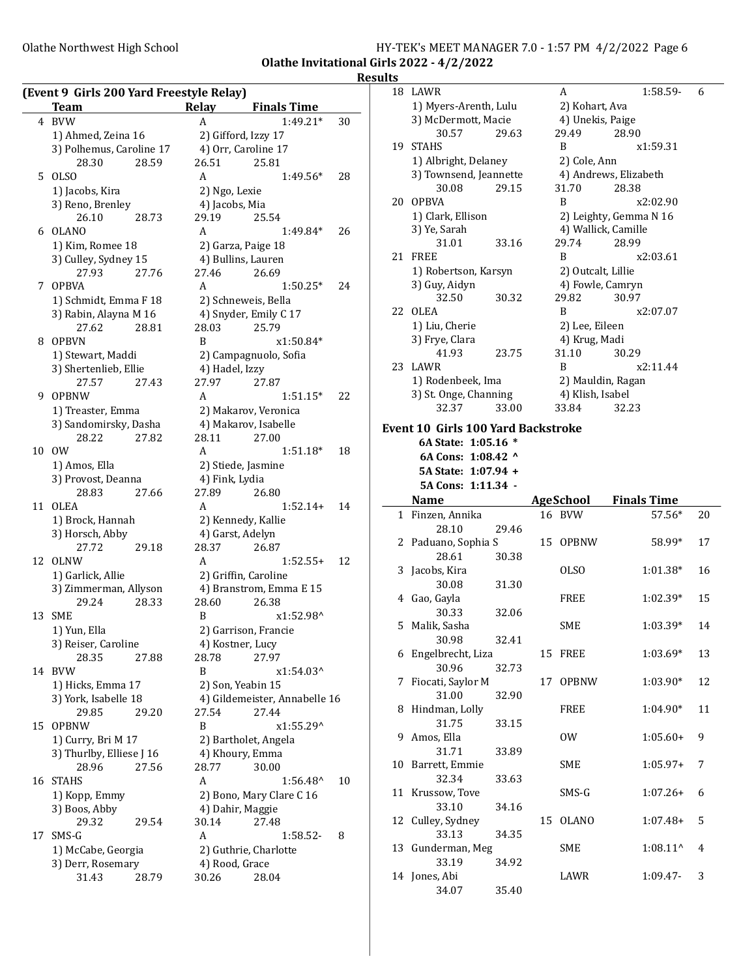#### Olathe Northwest High School **HY-TEK's MEET MANAGER 7.0 - 1:57 PM 4/2/2022** Page 6 Olathe Invitational Girls 2022 - 4/2/2022

**Results** 

|    | (Event 9 Girls 200 Yard Freestyle Relay)<br>Team | Relay          | <b>Finals Time</b>                         |    |
|----|--------------------------------------------------|----------------|--------------------------------------------|----|
| 4  | <b>BVW</b>                                       | A              | $1:49.21*$                                 | 30 |
|    |                                                  |                |                                            |    |
|    | 1) Ahmed, Zeina 16                               |                | 2) Gifford, Izzy 17<br>4) Orr, Caroline 17 |    |
|    | 3) Polhemus, Caroline 17<br>28.30<br>28.59       | 26.51          | 25.81                                      |    |
| 5  | <b>OLSO</b>                                      | A              | 1:49.56*                                   | 28 |
|    |                                                  | 2) Ngo, Lexie  |                                            |    |
|    | 1) Jacobs, Kira<br>3) Reno, Brenley              | 4) Jacobs, Mia |                                            |    |
|    | 26.10<br>28.73                                   | 29.19          | 25.54                                      |    |
| 6  | OLANO                                            | A              | 1:49.84*                                   | 26 |
|    | 1) Kim, Romee 18                                 |                | 2) Garza, Paige 18                         |    |
|    | 3) Culley, Sydney 15                             |                | 4) Bullins, Lauren                         |    |
|    | 27.93<br>27.76                                   | 27.46          | 26.69                                      |    |
|    | 7 OPBVA                                          | A              | $1:50.25*$                                 | 24 |
|    | 1) Schmidt, Emma F 18                            |                | 2) Schneweis, Bella                        |    |
|    | 3) Rabin, Alayna M 16                            |                | 4) Snyder, Emily C 17                      |    |
|    | 28.81<br>27.62                                   | 28.03          | 25.79                                      |    |
| 8  | <b>OPBVN</b>                                     | B              | x1:50.84*                                  |    |
|    | 1) Stewart, Maddi                                |                | 2) Campagnuolo, Sofia                      |    |
|    | 3) Shertenlieb, Ellie                            | 4) Hadel, Izzy |                                            |    |
|    | 27.57<br>27.43                                   | 27.97          | 27.87                                      |    |
| 9  | <b>OPBNW</b>                                     | A              | $1:51.15*$                                 | 22 |
|    | 1) Treaster, Emma                                |                | 2) Makarov, Veronica                       |    |
|    | 3) Sandomirsky, Dasha                            |                | 4) Makarov, Isabelle                       |    |
|    | 28.22<br>27.82                                   | 28.11          | 27.00                                      |    |
| 10 | 0W                                               | A              | 1:51.18*                                   | 18 |
|    | 1) Amos, Ella                                    |                | 2) Stiede, Jasmine                         |    |
|    | 3) Provost, Deanna                               | 4) Fink, Lydia |                                            |    |
|    | 28.83<br>27.66                                   | 27.89          | 26.80                                      |    |
| 11 | <b>OLEA</b>                                      | A              | $1:52.14+$                                 | 14 |
|    | 1) Brock, Hannah                                 |                | 2) Kennedy, Kallie                         |    |
|    | 3) Horsch, Abby                                  |                | 4) Garst, Adelyn                           |    |
|    | 27.72<br>29.18                                   | 28.37          | 26.87                                      |    |
| 12 | <b>OLNW</b>                                      | A              | $1:52.55+$                                 | 12 |
|    | 1) Garlick, Allie                                |                | 2) Griffin, Caroline                       |    |
|    | 3) Zimmerman, Allyson                            |                | 4) Branstrom, Emma E 15                    |    |
|    | 29.24<br>28.33                                   | 28.60          | 26.38                                      |    |
| 13 | SME                                              | B              | x1:52.98^                                  |    |
|    | 1) Yun, Ella                                     |                | 2) Garrison, Francie                       |    |
|    | 3) Reiser, Caroline                              |                | 4) Kostner, Lucy                           |    |
|    | 28.35<br>27.88                                   | 28.78          | 27.97                                      |    |
| 14 | <b>BVW</b>                                       | B              | x1:54.03^                                  |    |
|    | 1) Hicks, Emma 17                                |                | 2) Son, Yeabin 15                          |    |
|    | 3) York, Isabelle 18                             |                | 4) Gildemeister, Annabelle 16              |    |
|    | 29.85<br>29.20                                   | 27.54          | 27.44                                      |    |
| 15 | <b>OPBNW</b>                                     | B              | x1:55.29^                                  |    |
|    | 1) Curry, Bri M 17                               |                | 2) Bartholet, Angela                       |    |
|    | 3) Thurlby, Elliese J 16<br>28.96                |                | 4) Khoury, Emma                            |    |
| 16 | 27.56<br><b>STAHS</b>                            | 28.77<br>A     | 30.00                                      |    |
|    | 1) Kopp, Emmy                                    |                | 1:56.48^<br>2) Bono, Mary Clare C 16       | 10 |
|    | 3) Boos, Abby                                    |                | 4) Dahir, Maggie                           |    |
|    | 29.32<br>29.54                                   | 30.14          | 27.48                                      |    |
| 17 | SMS-G                                            | A              | 1:58.52-                                   | 8  |
|    | 1) McCabe, Georgia                               |                | 2) Guthrie, Charlotte                      |    |
|    | 3) Derr, Rosemary                                | 4) Rood, Grace |                                            |    |
|    | 31.43<br>28.79                                   | 30.26          | 28.04                                      |    |
|    |                                                  |                |                                            |    |

|              | 18 LAWR                                                          |    | A                   | 1:58.59-               | 6  |
|--------------|------------------------------------------------------------------|----|---------------------|------------------------|----|
|              | 1) Myers-Arenth, Lulu                                            |    | 2) Kohart, Ava      |                        |    |
|              | 3) McDermott, Macie                                              |    | 4) Unekis, Paige    |                        |    |
|              | 30.57<br>29.63                                                   |    | 29.49               | 28.90                  |    |
|              | 19 STAHS                                                         |    | B                   | x1:59.31               |    |
|              | 1) Albright, Delaney                                             |    | 2) Cole, Ann        |                        |    |
|              | 3) Townsend, Jeannette                                           |    |                     | 4) Andrews, Elizabeth  |    |
|              | 29.15<br>30.08                                                   |    | 31.70               | 28.38                  |    |
|              | 20 OPBVA                                                         |    | B                   | x2:02.90               |    |
|              |                                                                  |    |                     |                        |    |
|              | 1) Clark, Ellison                                                |    |                     | 2) Leighty, Gemma N 16 |    |
|              | 3) Ye, Sarah                                                     |    | 4) Wallick, Camille |                        |    |
|              | 31.01<br>33.16                                                   |    | 29.74               | 28.99                  |    |
| 21           | FREE                                                             |    | B                   | x2:03.61               |    |
|              | 1) Robertson, Karsyn                                             |    | 2) Outcalt, Lillie  |                        |    |
|              | 3) Guy, Aidyn                                                    |    | 4) Fowle, Camryn    |                        |    |
|              | 32.50<br>30.32                                                   |    | 29.82               | 30.97                  |    |
| 22           | <b>OLEA</b>                                                      |    | B                   | x2:07.07               |    |
|              | 1) Liu, Cherie                                                   |    | 2) Lee, Eileen      |                        |    |
|              | 3) Frye, Clara                                                   |    | 4) Krug, Madi       |                        |    |
|              | 41.93<br>23.75                                                   |    | 31.10               | 30.29                  |    |
| 23           | LAWR                                                             |    | B                   | x2:11.44               |    |
|              | 1) Rodenbeek, Ima                                                |    | 2) Mauldin, Ragan   |                        |    |
|              | 3) St. Onge, Channing                                            |    | 4) Klish, Isabel    |                        |    |
|              | 33.00<br>32.37                                                   |    | 33.84               | 32.23                  |    |
|              |                                                                  |    |                     |                        |    |
|              | <b>Event 10 Girls 100 Yard Backstroke</b><br>6A State: 1:05.16 * |    |                     |                        |    |
|              |                                                                  |    |                     |                        |    |
|              | 6A Cons: 1:08.42 ^                                               |    |                     |                        |    |
|              | 5A State: 1:07.94 +                                              |    |                     |                        |    |
|              |                                                                  |    |                     |                        |    |
|              | 5A Cons: 1:11.34 -                                               |    |                     |                        |    |
|              | <b>Name</b>                                                      |    | <b>AgeSchool</b>    | <b>Finals Time</b>     |    |
| $\mathbf{1}$ | Finzen, Annika                                                   |    | 16 BVW              | 57.56*                 | 20 |
|              | 28.10<br>29.46                                                   |    |                     |                        |    |
| 2            | Paduano, Sophia S                                                | 15 | OPBNW               | 58.99*                 | 17 |
|              | 28.61<br>30.38                                                   |    |                     |                        |    |
| 3            | Jacobs, Kira                                                     |    | OLSO                | $1:01.38*$             | 16 |
|              | 30.08<br>31.30                                                   |    |                     |                        |    |
|              | 4 Gao, Gayla                                                     |    | FREE                | 1:02.39*               | 15 |
|              | 30.33<br>32.06                                                   |    |                     |                        |    |
| 5.           | Malik, Sasha                                                     |    | SME                 | $1:03.39*$             | 14 |
|              | 30.98<br>32.41                                                   |    |                     |                        |    |
|              | 6 Engelbrecht, Liza                                              |    | 15 FREE             | 1:03.69*               | 13 |
|              | 30.96<br>32.73                                                   |    |                     |                        |    |
| 7            | Fiocati, Saylor M                                                | 17 | <b>OPBNW</b>        | 1:03.90*               | 12 |
|              |                                                                  |    |                     |                        |    |
| 8            | 31.00<br>32.90                                                   |    |                     |                        | 11 |
|              | Hindman, Lolly                                                   |    | <b>FREE</b>         | 1:04.90*               |    |
|              | 31.75<br>33.15                                                   |    |                     |                        |    |
| 9            | Amos, Ella                                                       |    | 0W                  | $1:05.60+$             | 9  |
|              | 31.71<br>33.89                                                   |    |                     |                        |    |
| 10           | Barrett, Emmie                                                   |    | SME                 | $1:05.97+$             | 7  |
|              | 32.34<br>33.63                                                   |    |                     |                        |    |
| 11           | Krussow, Tove                                                    |    | SMS-G               | $1:07.26+$             | 6  |
|              | 33.10<br>34.16                                                   |    |                     |                        |    |
| 12           | Culley, Sydney                                                   | 15 | <b>OLANO</b>        | $1:07.48+$             | 5  |
|              | 33.13<br>34.35                                                   |    |                     |                        |    |
|              | 13 Gunderman, Meg                                                |    | SME                 | $1:08.11^{\wedge}$     | 4  |
|              | 33.19<br>34.92                                                   |    |                     |                        |    |
|              | 14 Jones, Abi<br>34.07<br>35.40                                  |    | LAWR                | 1:09.47-               | 3  |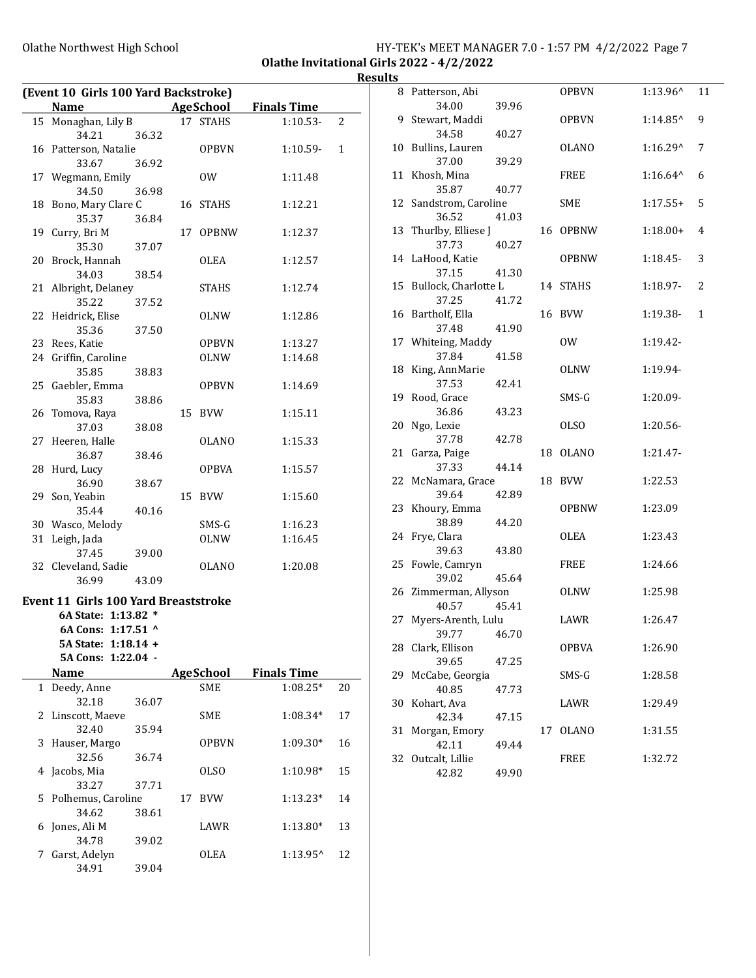### Olathe Northwest High School **HY-TEK's MEET MANAGER 7.0 - 1:57 PM 4/2/2022** Page 7 Olathe Invitational Girls 2022 - 4/2/2022

# Results

| (Event 10 Girls 100 Yard Backstroke) |                                                                    |       |    |              |                    |                |
|--------------------------------------|--------------------------------------------------------------------|-------|----|--------------|--------------------|----------------|
|                                      | Name                                                               |       |    | AgeSchool    | <b>Finals Time</b> |                |
| 15                                   | Monaghan, Lily B                                                   |       |    | 17 STAHS     | $1:10.53-$         | $\overline{2}$ |
|                                      | 34.21                                                              | 36.32 |    |              |                    |                |
|                                      | 16 Patterson, Natalie                                              |       |    | <b>OPBVN</b> | 1:10.59-           | 1              |
|                                      | 33.67                                                              | 36.92 |    |              |                    |                |
|                                      | 17 Wegmann, Emily                                                  |       |    | 0W           | 1:11.48            |                |
|                                      | 34.50                                                              | 36.98 |    |              |                    |                |
| 18                                   | Bono, Mary Clare C                                                 |       |    | 16 STAHS     | 1:12.21            |                |
|                                      | 35.37                                                              | 36.84 |    |              |                    |                |
| 19                                   | Curry, Bri M                                                       |       | 17 | <b>OPBNW</b> | 1:12.37            |                |
|                                      | 35.30                                                              | 37.07 |    |              |                    |                |
| 20                                   | Brock, Hannah                                                      |       |    | <b>OLEA</b>  | 1:12.57            |                |
|                                      | 34.03                                                              | 38.54 |    |              |                    |                |
| 21                                   | Albright, Delaney                                                  |       |    | STAHS        | 1:12.74            |                |
|                                      | 35.22                                                              | 37.52 |    |              |                    |                |
|                                      |                                                                    |       |    |              |                    |                |
| 22                                   | Heidrick, Elise                                                    |       |    | OLNW         | 1:12.86            |                |
|                                      | 35.36                                                              | 37.50 |    |              |                    |                |
|                                      | 23 Rees, Katie                                                     |       |    | <b>OPBVN</b> | 1:13.27            |                |
|                                      | 24 Griffin, Caroline                                               |       |    | OLNW         | 1:14.68            |                |
|                                      | 35.85                                                              | 38.83 |    |              |                    |                |
| 25                                   | Gaebler, Emma                                                      |       |    | OPBVN        | 1:14.69            |                |
|                                      | 35.83                                                              | 38.86 |    |              |                    |                |
| 26                                   | Tomova, Raya                                                       |       | 15 | <b>BVW</b>   | 1:15.11            |                |
|                                      | 37.03                                                              | 38.08 |    |              |                    |                |
| 27                                   | Heeren, Halle                                                      |       |    | <b>OLANO</b> | 1:15.33            |                |
|                                      | 36.87                                                              | 38.46 |    |              |                    |                |
| 28                                   | Hurd, Lucy                                                         |       |    | OPBVA        | 1:15.57            |                |
|                                      | 36.90                                                              | 38.67 |    |              |                    |                |
| 29                                   | Son, Yeabin                                                        |       | 15 | <b>BVW</b>   | 1:15.60            |                |
|                                      | 35.44                                                              | 40.16 |    |              |                    |                |
|                                      | 30 Wasco, Melody                                                   |       |    | SMS-G        | 1:16.23            |                |
| 31                                   | Leigh, Jada                                                        |       |    | OLNW         | 1:16.45            |                |
|                                      | 37.45                                                              | 39.00 |    |              |                    |                |
|                                      | 32 Cleveland, Sadie                                                |       |    | OLANO        | 1:20.08            |                |
|                                      | 36.99                                                              | 43.09 |    |              |                    |                |
|                                      |                                                                    |       |    |              |                    |                |
|                                      | <b>Event 11 Girls 100 Yard Breaststroke</b><br>6A State: 1:13.82 * |       |    |              |                    |                |
|                                      |                                                                    |       |    |              |                    |                |
|                                      | 6A Cons: 1:17.51 ^                                                 |       |    |              |                    |                |
|                                      | 5A State: 1:18.14 +                                                |       |    |              |                    |                |
|                                      | 5A Cons: 1:22.04 -                                                 |       |    |              |                    |                |
|                                      | <b>Name</b>                                                        |       |    | AgeSchool    | <b>Finals Time</b> |                |
| 1                                    | Deedy, Anne                                                        |       |    | <b>SME</b>   | $1:08.25*$         | 20             |
|                                      | 32.18                                                              | 36.07 |    |              |                    |                |
| 2                                    | Linscott, Maeve                                                    |       |    | SME          | 1:08.34*           | 17             |
|                                      | 32.40                                                              | 35.94 |    |              |                    |                |
| 3                                    | Hauser, Margo                                                      |       |    | <b>OPBVN</b> | $1:09.30*$         | 16             |
|                                      | 32.56                                                              | 36.74 |    |              |                    |                |
| 4                                    | Jacobs, Mia                                                        |       |    | OLSO         | 1:10.98*           | 15             |
|                                      | 33.27                                                              | 37.71 |    |              |                    |                |
| 5                                    | Polhemus, Caroline                                                 |       | 17 | <b>BVW</b>   | 1:13.23*           | 14             |
|                                      | 34.62                                                              | 38.61 |    |              |                    |                |
| 6                                    | Jones, Ali M                                                       |       |    | LAWR         | 1:13.80*           | 13             |
|                                      | 34.78                                                              | 39.02 |    |              |                    |                |
| 7                                    | Garst, Adelyn                                                      |       |    | <b>OLEA</b>  | 1:13.95^           | 12             |
|                                      | 34.91                                                              | 39.04 |    |              |                    |                |

| ູ  |                           |       |    |              |                    |              |
|----|---------------------------|-------|----|--------------|--------------------|--------------|
|    | 8 Patterson, Abi          |       |    | <b>OPBVN</b> | 1:13.96^           | 11           |
|    | 34.00                     | 39.96 |    |              |                    |              |
|    | 9 Stewart, Maddi<br>34.58 |       |    | <b>OPBVN</b> | 1:14.85^           | 9            |
|    | 10 Bullins, Lauren        | 40.27 |    | <b>OLANO</b> | 1:16.29^           | 7            |
|    | 37.00                     | 39.29 |    |              |                    |              |
|    | 11 Khosh, Mina            |       |    | <b>FREE</b>  | $1:16.64^{\wedge}$ | 6            |
|    | 35.87                     | 40.77 |    |              |                    |              |
|    | 12 Sandstrom, Caroline    |       |    | <b>SME</b>   | $1:17.55+$         | 5            |
|    | 36.52                     | 41.03 |    |              |                    |              |
|    | 13 Thurlby, Elliese J     |       | 16 | <b>OPBNW</b> | $1:18.00+$         | 4            |
|    | 37.73                     | 40.27 |    |              |                    |              |
|    | 14 LaHood, Katie<br>37.15 |       |    | <b>OPBNW</b> | $1:18.45-$         | 3            |
|    | 15 Bullock, Charlotte L   | 41.30 |    | 14 STAHS     | 1:18.97-           | 2            |
|    | 37.25                     | 41.72 |    |              |                    |              |
|    | 16 Bartholf, Ella         |       | 16 | BVW          | 1:19.38-           | $\mathbf{1}$ |
|    | 37.48                     | 41.90 |    |              |                    |              |
|    | 17 Whiteing, Maddy        |       |    | 0W           | 1:19.42-           |              |
|    | 37.84                     | 41.58 |    |              |                    |              |
| 18 | King, AnnMarie            |       |    | <b>OLNW</b>  | 1:19.94-           |              |
|    | 37.53                     | 42.41 |    |              |                    |              |
|    | 19 Rood, Grace            |       |    | SMS-G        | 1:20.09-           |              |
| 20 | 36.86<br>Ngo, Lexie       | 43.23 |    | <b>OLSO</b>  | 1:20.56-           |              |
|    | 37.78                     | 42.78 |    |              |                    |              |
|    | 21 Garza, Paige           |       | 18 | <b>OLANO</b> | 1:21.47-           |              |
|    | 37.33                     | 44.14 |    |              |                    |              |
|    | 22 McNamara, Grace        |       | 18 | <b>BVW</b>   | 1:22.53            |              |
|    | 39.64                     | 42.89 |    |              |                    |              |
| 23 | Khoury, Emma              |       |    | <b>OPBNW</b> | 1:23.09            |              |
|    | 38.89                     | 44.20 |    |              |                    |              |
| 24 | Frye, Clara<br>39.63      | 43.80 |    | <b>OLEA</b>  | 1:23.43            |              |
| 25 | Fowle, Camryn             |       |    | FREE         | 1:24.66            |              |
|    | 39.02                     | 45.64 |    |              |                    |              |
|    | 26 Zimmerman, Allyson     |       |    | OLNW         | 1:25.98            |              |
|    | 40.57                     | 45.41 |    |              |                    |              |
| 27 | Myers-Arenth, Lulu        |       |    | LAWR         | 1:26.47            |              |
|    | 39.77 46.70               |       |    |              |                    |              |
|    | 28 Clark, Ellison         |       |    | <b>OPBVA</b> | 1:26.90            |              |
|    | 39.65                     | 47.25 |    |              |                    |              |
| 29 | McCabe, Georgia<br>40.85  |       |    | SMS-G        | 1:28.58            |              |
| 30 | Kohart, Ava               | 47.73 |    | LAWR         | 1:29.49            |              |
|    | 42.34                     | 47.15 |    |              |                    |              |
| 31 | Morgan, Emory             |       | 17 | <b>OLANO</b> | 1:31.55            |              |
|    | 42.11                     | 49.44 |    |              |                    |              |
| 32 | Outcalt, Lillie           |       |    | <b>FREE</b>  | 1:32.72            |              |
|    | 42.82                     | 49.90 |    |              |                    |              |
|    |                           |       |    |              |                    |              |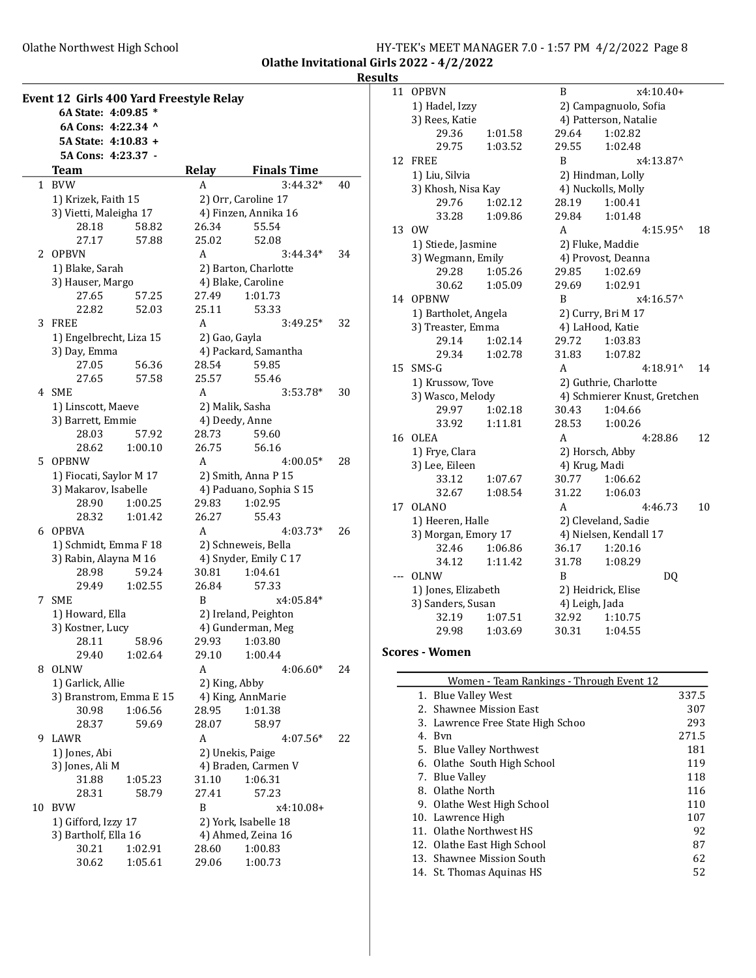Olathe Northwest High School

|                                           | HY-TEK's MEET MANAGER 7.0 - 1:57 PM 4/2/2022 Page 8 |  |  |
|-------------------------------------------|-----------------------------------------------------|--|--|
| Olathe Invitational Girls 2022 - 4/2/2022 |                                                     |  |  |

 $\begin{array}{c}\n\text{Results} \\
\hline\n\end{array}$ 

| Event 12 Girls 400 Yard Freestyle Relay |                                               |         |               |                                             |    |
|-----------------------------------------|-----------------------------------------------|---------|---------------|---------------------------------------------|----|
|                                         | 6A State: 4:09.85 *                           |         |               |                                             |    |
|                                         | 6A Cons: 4:22.34 ^                            |         |               |                                             |    |
|                                         | 5A State: 4:10.83 +                           |         |               |                                             |    |
|                                         | 5A Cons: 4:23.37 -                            |         |               |                                             |    |
|                                         | <b>Team</b>                                   |         | Relay         | <b>Finals Time</b>                          |    |
| 1                                       | <b>BVW</b>                                    |         | A             | $3:44.32*$                                  | 40 |
|                                         | 1) Krizek, Faith 15<br>3) Vietti, Maleigha 17 |         |               | 2) Orr, Caroline 17<br>4) Finzen, Annika 16 |    |
|                                         | 28.18                                         | 58.82   | 26.34         | 55.54                                       |    |
|                                         | 27.17                                         | 57.88   | 25.02         | 52.08                                       |    |
| 2                                       | <b>OPBVN</b>                                  |         | A             | 3:44.34*                                    | 34 |
|                                         | 1) Blake, Sarah                               |         |               | 2) Barton, Charlotte                        |    |
|                                         | 3) Hauser, Margo                              |         |               | 4) Blake, Caroline                          |    |
|                                         | 27.65                                         | 57.25   | 27.49         | 1:01.73                                     |    |
|                                         | 22.82                                         | 52.03   | 25.11         | 53.33                                       |    |
| 3                                       | <b>FREE</b>                                   |         | A             | $3:49.25*$                                  | 32 |
|                                         | 1) Engelbrecht, Liza 15                       |         | 2) Gao, Gayla |                                             |    |
|                                         | 3) Day, Emma                                  |         |               | 4) Packard, Samantha                        |    |
|                                         | 27.05                                         | 56.36   | 28.54         | 59.85                                       |    |
|                                         | 27.65                                         | 57.58   | 25.57         | 55.46                                       |    |
|                                         | 4 SME                                         |         | A             | $3:53.78*$                                  | 30 |
|                                         | 1) Linscott, Maeve                            |         |               | 2) Malik, Sasha                             |    |
|                                         | 3) Barrett, Emmie                             |         |               | 4) Deedy, Anne                              |    |
|                                         | 28.03                                         | 57.92   | 28.73         | 59.60                                       |    |
|                                         | 28.62                                         | 1:00.10 | 26.75         | 56.16                                       |    |
| 5                                       | <b>OPBNW</b>                                  |         | A             | $4:00.05*$                                  | 28 |
|                                         | 1) Fiocati, Saylor M 17                       |         |               | 2) Smith, Anna P 15                         |    |
|                                         | 3) Makarov, Isabelle                          |         |               | 4) Paduano, Sophia S 15                     |    |
|                                         | 28.90                                         | 1:00.25 | 29.83         | 1:02.95                                     |    |
|                                         | 28.32                                         | 1:01.42 | 26.27         | 55.43                                       |    |
| 6                                       | OPBVA                                         |         | A             | $4:03.73*$                                  | 26 |
|                                         | 1) Schmidt, Emma F 18                         |         |               | 2) Schneweis, Bella                         |    |
|                                         | 3) Rabin, Alayna M 16<br>28.98                | 59.24   | 30.81         | 4) Snyder, Emily C 17<br>1:04.61            |    |
|                                         | 29.49                                         | 1:02.55 | 26.84         | 57.33                                       |    |
| 7                                       | <b>SME</b>                                    |         | В             | x4:05.84*                                   |    |
|                                         | 1) Howard, Ella                               |         |               | 2) Ireland, Peighton                        |    |
|                                         | 3) Kostner, Lucy                              |         |               | 4) Gunderman, Meg                           |    |
|                                         | 28.11                                         | 58.96   |               | 29.93 1:03.80                               |    |
|                                         | 29.40                                         | 1:02.64 | 29.10         | 1:00.44                                     |    |
| 8                                       | <b>OLNW</b>                                   |         | A             | $4:06.60*$                                  | 24 |
|                                         | 1) Garlick, Allie                             |         | 2) King, Abby |                                             |    |
|                                         | 3) Branstrom, Emma E 15                       |         |               | 4) King, AnnMarie                           |    |
|                                         | 30.98                                         | 1:06.56 | 28.95         | 1:01.38                                     |    |
|                                         | 28.37                                         | 59.69   | 28.07         | 58.97                                       |    |
| 9                                       | LAWR                                          |         | A             | $4:07.56*$                                  | 22 |
|                                         | 1) Jones, Abi                                 |         |               | 2) Unekis, Paige                            |    |
|                                         | 3) Jones, Ali M                               |         |               | 4) Braden, Carmen V                         |    |
|                                         | 31.88                                         | 1:05.23 | 31.10         | 1:06.31                                     |    |
|                                         | 28.31                                         | 58.79   | 27.41         | 57.23                                       |    |
| 10                                      | <b>BVW</b>                                    |         | B             | x4:10.08+                                   |    |
|                                         | 1) Gifford, Izzy 17                           |         |               | 2) York, Isabelle 18                        |    |
|                                         | 3) Bartholf, Ella 16                          |         |               | 4) Ahmed, Zeina 16                          |    |
|                                         | 30.21                                         | 1:02.91 | 28.60         | 1:00.83                                     |    |
|                                         | 30.62                                         | 1:05.61 | 29.06         | 1:00.73                                     |    |

| 11             | <b>OPBVN</b>         |                  | B              | x4:10.40+                    |    |
|----------------|----------------------|------------------|----------------|------------------------------|----|
|                | 1) Hadel, Izzy       |                  |                | 2) Campagnuolo, Sofia        |    |
|                | 3) Rees, Katie       |                  |                | 4) Patterson, Natalie        |    |
|                | 29.36                | 1:01.58          | 29.64          | 1:02.82                      |    |
|                | 29.75                | 1:03.52          | 29.55          | 1:02.48                      |    |
| 12             | <b>FREE</b>          |                  | B              | x4:13.87^                    |    |
|                | 1) Liu, Silvia       |                  |                | 2) Hindman, Lolly            |    |
|                | 3) Khosh, Nisa Kay   |                  |                | 4) Nuckolls, Molly           |    |
|                | 29.76                | 1:02.12          | 28.19          | 1:00.41                      |    |
|                | 33.28                | 1:09.86          | 29.84          | 1:01.48                      |    |
| 13             | 0W                   |                  | A              | $4:15.95^{\circ}$            | 18 |
|                | 1) Stiede, Jasmine   |                  |                | 2) Fluke, Maddie             |    |
|                | 3) Wegmann, Emily    |                  |                | 4) Provost, Deanna           |    |
|                | 29.28                | 1:05.26          | 29.85          | 1:02.69                      |    |
|                | 30.62                | 1:05.09          | 29.69          | 1:02.91                      |    |
| 14             | <b>OPBNW</b>         |                  | B              | x4:16.57^                    |    |
|                | 1) Bartholet, Angela |                  |                | 2) Curry, Bri M 17           |    |
|                | 3) Treaster, Emma    |                  |                | 4) LaHood, Katie             |    |
|                | 29.14                | 1:02.14          | 29.72          | 1:03.83                      |    |
|                | 29.34                | 1:02.78          | 31.83          | 1:07.82                      |    |
| 15             | $SMS-G$              |                  | A              | $4:18.91^{\circ}$            | 14 |
|                |                      | 1) Krussow, Tove |                | 2) Guthrie, Charlotte        |    |
|                | 3) Wasco, Melody     |                  |                | 4) Schmierer Knust, Gretchen |    |
|                | 29.97                | 1:02.18          | 30.43          | 1:04.66                      |    |
|                | 33.92                | 1:11.81          | 28.53          | 1:00.26                      |    |
| 16             | <b>OLEA</b>          |                  | A              | 4:28.86                      | 12 |
| 1) Frye, Clara |                      |                  |                | 2) Horsch, Abby              |    |
|                | 3) Lee, Eileen       |                  | 4) Krug, Madi  |                              |    |
|                | 33.12                | 1:07.67          | 30.77          | 1:06.62                      |    |
|                | 32.67                | 1:08.54          | 31.22          | 1:06.03                      |    |
| 17             | <b>OLANO</b>         |                  | A              | 4:46.73                      | 10 |
|                | 1) Heeren, Halle     |                  |                | 2) Cleveland, Sadie          |    |
|                | 3) Morgan, Emory 17  |                  |                | 4) Nielsen, Kendall 17       |    |
|                | 32.46                | 1:06.86          | 36.17          | 1:20.16                      |    |
|                | 34.12                | 1:11.42          | 31.78          | 1:08.29                      |    |
|                | <b>OLNW</b>          |                  | B              | DQ                           |    |
|                | 1) Jones, Elizabeth  |                  |                | 2) Heidrick, Elise           |    |
|                | 3) Sanders, Susan    |                  | 4) Leigh, Jada |                              |    |
|                | 32.19                | 1:07.51          | 32.92          | 1:10.75                      |    |
|                | 29.98                | 1:03.69          | 30.31          | 1:04.55                      |    |
|                |                      |                  |                |                              |    |

## Scores - Women

| Women - Team Rankings - Through Event 12 |                                   |       |  |  |
|------------------------------------------|-----------------------------------|-------|--|--|
|                                          | 1. Blue Valley West               | 337.5 |  |  |
|                                          | 2. Shawnee Mission East           | 307   |  |  |
|                                          | 3. Lawrence Free State High Schoo | 293   |  |  |
|                                          | 4. Byn                            | 271.5 |  |  |
|                                          | 5. Blue Valley Northwest          | 181   |  |  |
|                                          | 6. Olathe South High School       | 119   |  |  |
|                                          | 7. Blue Valley                    | 118   |  |  |
|                                          | 8. Olathe North                   | 116   |  |  |
|                                          | 9. Olathe West High School        | 110   |  |  |
|                                          | 10. Lawrence High                 | 107   |  |  |
|                                          | 11. Olathe Northwest HS           | 92    |  |  |
|                                          | 12. Olathe East High School       | 87    |  |  |
|                                          | 13. Shawnee Mission South         | 62    |  |  |
|                                          | 14. St. Thomas Aquinas HS         | 52    |  |  |